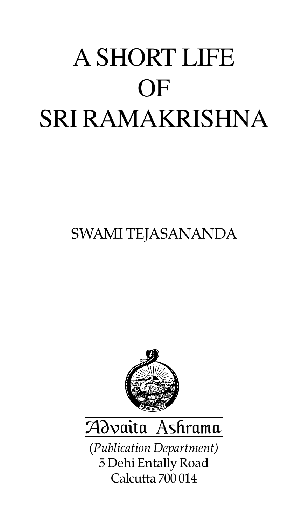# A SHORT LIFE OF SRI RAMAKRISHNA

SWAMI TEJASANANDA



## Advaita Ashrama

(Publication Department) 5 Dehi Entally Road Calcutta 700 014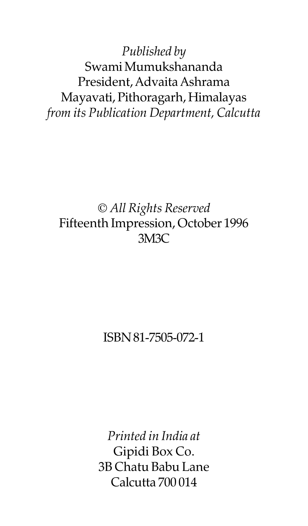Published by Swami Mumukshananda President, Advaita Ashrama Mayavati, Pithoragarh, Himalayas from its Publication Department, Calcutta

#### © All Rights Reserved Fifteenth Impression, October 1996 3M3C

#### ISBN 81-7505-072-1

Printed in India at Gipidi Box Co. 3B Chatu Babu Lane Calcutta 700 014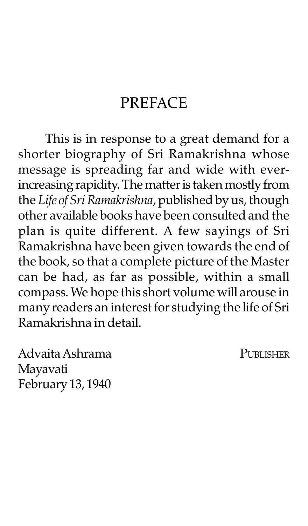#### PREFACE

This is in response to a great demand for a shorter biography of Sri Ramakrishna whose message is spreading far and wide with everincreasing rapidity. The matter is taken mostly from the Life of Sri Ramakrishna, published by us, though other available books have been consulted and the plan is quite different. A few sayings of Sri Ramakrishna have been given towards the end of the book, so that a complete picture of the Master can be had, as far as possible, within a small compass. We hope this short volume will arouse in many readers an interest for studying the life of Sri Ramakrishna in detail.

Advaita Ashrama PUBLISHER Mayavati February 13, 1940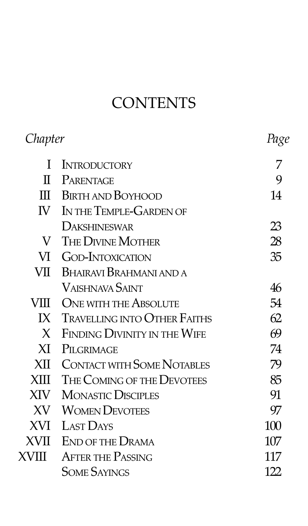## **CONTENTS**

| Chapter    |                                   | Page |
|------------|-----------------------------------|------|
| T          | <b>INTRODUCTORY</b>               | 7    |
| π          | PARENTAGE                         | 9    |
| Ш          | <b>BIRTH AND BOYHOOD</b>          | 14   |
| IV.        | IN THE TEMPLE-GARDEN OF           |      |
|            | <b>DAKSHINESWAR</b>               | 23   |
| V          | <b>THE DIVINE MOTHER</b>          | 28   |
| VI         | <b>GOD-INTOXICATION</b>           | 35   |
| VII        | <b>BHAIRAVI BRAHMANI AND A</b>    |      |
|            | <b>VAISHNAVA SAINT</b>            | 46   |
| VШ         | ONE WITH THE ABSOLUTE             | 54   |
| IX         | Travelling into Other Faiths      | 62   |
| X          | FINDING DIVINITY IN THE WIFE      | 69   |
| XI         | PILGRIMAGE                        | 74   |
| XII        | <b>CONTACT WITH SOME NOTABLES</b> | 79   |
| XIII       | THE COMING OF THE DEVOTEES        | 85   |
| XIV        | <b>MONASTIC DISCIPLES</b>         | 91   |
| XV         | <b>WOMEN DEVOTEES</b>             | 97   |
| <b>XVI</b> | <b>LAST DAYS</b>                  | 100  |
| XVII.      | <b>END OF THE DRAMA</b>           | 107  |
| XVIII      | <b>AFTER THE PASSING</b>          | 117  |
|            | <b>SOME SAYINGS</b>               | 122  |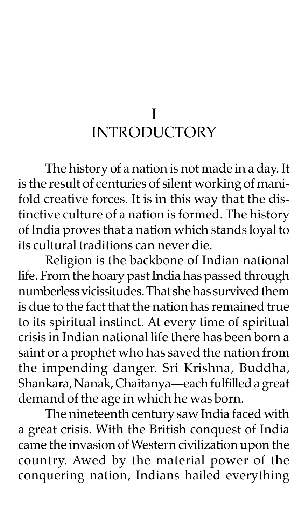### I INTRODUCTORY

The history of a nation is not made in a day. It is the result of centuries of silent working of manifold creative forces. It is in this way that the distinctive culture of a nation is formed. The history of India proves that a nation which stands loyal to its cultural traditions can never die.

Religion is the backbone of Indian national life. From the hoary past India has passed through numberless vicissitudes. That she has survived them is due to the fact that the nation has remained true to its spiritual instinct. At every time of spiritual crisis in Indian national life there has been born a saint or a prophet who has saved the nation from the impending danger. Sri Krishna, Buddha, Shankara, Nanak, Chaitanya—each fulfilled a great demand of the age in which he was born.

The nineteenth century saw India faced with a great crisis. With the British conquest of India came the invasion of Western civilization upon the country. Awed by the material power of the conquering nation, Indians hailed everything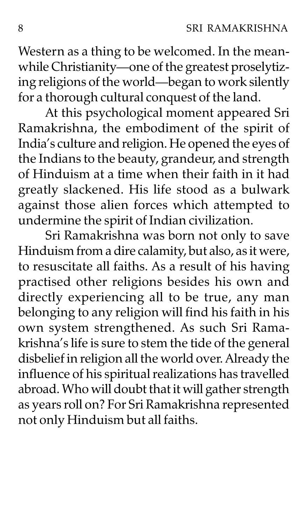Western as a thing to be welcomed. In the meanwhile Christianity-one of the greatest proselytizing religions of the world-began to work silently for a thorough cultural conquest of the land.

At this psychological moment appeared Sri Ramakrishna, the embodiment of the spirit of Indiaís culture and religion. He opened the eyes of the Indians to the beauty, grandeur, and strength of Hinduism at a time when their faith in it had greatly slackened. His life stood as a bulwark against those alien forces which attempted to undermine the spirit of Indian civilization.

Sri Ramakrishna was born not only to save Hinduism from a dire calamity, but also, as it were, to resuscitate all faiths. As a result of his having practised other religions besides his own and directly experiencing all to be true, any man belonging to any religion will find his faith in his own system strengthened. As such Sri Ramakrishnaís life is sure to stem the tide of the general disbelief in religion all the world over. Already the influence of his spiritual realizations has travelled abroad. Who will doubt that it will gather strength as years roll on? For Sri Ramakrishna represented not only Hinduism but all faiths.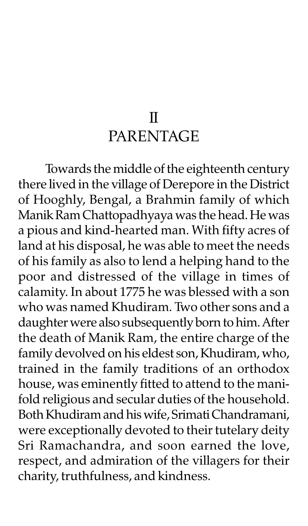#### II PARENTAGE

Towards the middle of the eighteenth century there lived in the village of Derepore in the District of Hooghly, Bengal, a Brahmin family of which Manik Ram Chattopadhyaya was the head. He was a pious and kind-hearted man. With fifty acres of land at his disposal, he was able to meet the needs of his family as also to lend a helping hand to the poor and distressed of the village in times of calamity. In about 1775 he was blessed with a son who was named Khudiram. Two other sons and a daughter were also subsequently born to him. After the death of Manik Ram, the entire charge of the family devolved on his eldest son, Khudiram, who, trained in the family traditions of an orthodox house, was eminently fitted to attend to the manifold religious and secular duties of the household. Both Khudiram and his wife, Srimati Chandramani, were exceptionally devoted to their tutelary deity Sri Ramachandra, and soon earned the love, respect, and admiration of the villagers for their charity, truthfulness, and kindness.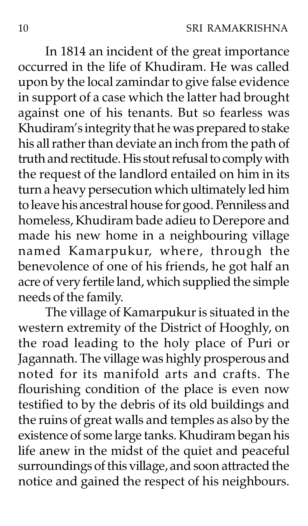In 1814 an incident of the great importance occurred in the life of Khudiram. He was called upon by the local zamindar to give false evidence in support of a case which the latter had brought against one of his tenants. But so fearless was Khudiramís integrity that he was prepared to stake his all rather than deviate an inch from the path of truth and rectitude. His stout refusal to comply with the request of the landlord entailed on him in its turn a heavy persecution which ultimately led him to leave his ancestral house for good. Penniless and homeless, Khudiram bade adieu to Derepore and made his new home in a neighbouring village named Kamarpukur, where, through the benevolence of one of his friends, he got half an acre of very fertile land, which supplied the simple needs of the family.

The village of Kamarpukur is situated in the western extremity of the District of Hooghly, on the road leading to the holy place of Puri or Jagannath. The village was highly prosperous and noted for its manifold arts and crafts. The flourishing condition of the place is even now testified to by the debris of its old buildings and the ruins of great walls and temples as also by the existence of some large tanks. Khudiram began his life anew in the midst of the quiet and peaceful surroundings of this village, and soon attracted the notice and gained the respect of his neighbours.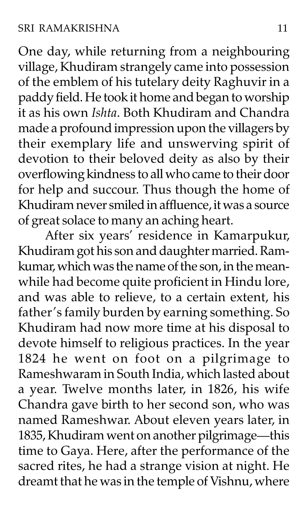One day, while returning from a neighbouring village, Khudiram strangely came into possession of the emblem of his tutelary deity Raghuvir in a paddy field. He took it home and began to worship it as his own Ishta. Both Khudiram and Chandra made a profound impression upon the villagers by their exemplary life and unswerving spirit of devotion to their beloved deity as also by their overflowing kindness to all who came to their door for help and succour. Thus though the home of Khudiram never smiled in affluence, it was a source of great solace to many an aching heart.

After six years' residence in Kamarpukur, Khudiram got his son and daughter married. Ramkumar, which was the name of the son, in the meanwhile had become quite proficient in Hindu lore, and was able to relieve, to a certain extent, his father's family burden by earning something. So Khudiram had now more time at his disposal to devote himself to religious practices. In the year 1824 he went on foot on a pilgrimage to Rameshwaram in South India, which lasted about a year. Twelve months later, in 1826, his wife Chandra gave birth to her second son, who was named Rameshwar. About eleven years later, in 1835, Khudiram went on another pilgrimage-this time to Gaya. Here, after the performance of the sacred rites, he had a strange vision at night. He dreamt that he was in the temple of Vishnu, where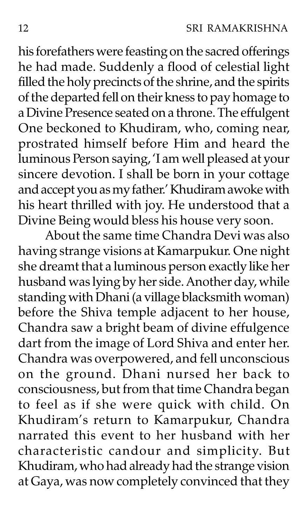his forefathers were feasting on the sacred offerings he had made. Suddenly a flood of celestial light filled the holy precincts of the shrine, and the spirits of the departed fell on their kness to pay homage to a Divine Presence seated on a throne. The effulgent One beckoned to Khudiram, who, coming near, prostrated himself before Him and heard the luminous Person saying, 'I am well pleased at your sincere devotion. I shall be born in your cottage and accept you as my father.' Khudiram awoke with his heart thrilled with joy. He understood that a Divine Being would bless his house very soon.

About the same time Chandra Devi was also having strange visions at Kamarpukur. One night she dreamt that a luminous person exactly like her husband was lying by her side. Another day, while standing with Dhani (a village blacksmith woman) before the Shiva temple adjacent to her house, Chandra saw a bright beam of divine effulgence dart from the image of Lord Shiva and enter her. Chandra was overpowered, and fell unconscious on the ground. Dhani nursed her back to consciousness, but from that time Chandra began to feel as if she were quick with child. On Khudiramís return to Kamarpukur, Chandra narrated this event to her husband with her characteristic candour and simplicity. But Khudiram, who had already had the strange vision at Gaya, was now completely convinced that they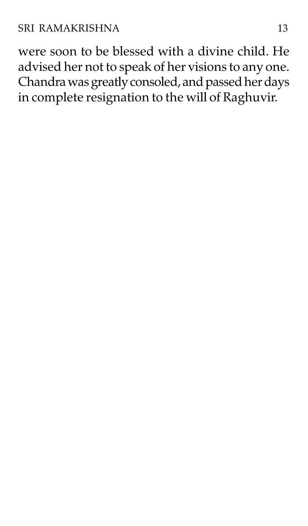were soon to be blessed with a divine child. He advised her not to speak of her visions to any one. Chandra was greatly consoled, and passed her days in complete resignation to the will of Raghuvir.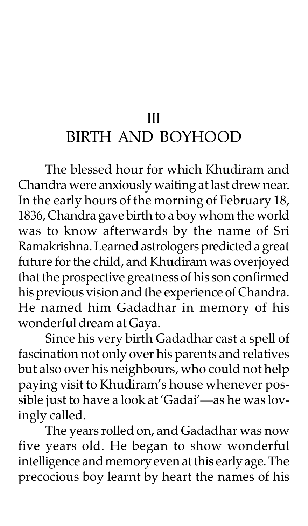## III BIRTH AND BOYHOOD

The blessed hour for which Khudiram and Chandra were anxiously waiting at last drew near. In the early hours of the morning of February 18, 1836, Chandra gave birth to a boy whom the world was to know afterwards by the name of Sri Ramakrishna. Learned astrologers predicted a great future for the child, and Khudiram was overjoyed that the prospective greatness of his son confirmed his previous vision and the experience of Chandra. He named him Gadadhar in memory of his wonderful dream at Gaya.

Since his very birth Gadadhar cast a spell of fascination not only over his parents and relatives but also over his neighbours, who could not help paying visit to Khudiram's house whenever possible just to have a look at 'Gadai'—as he was lovingly called.

The years rolled on, and Gadadhar was now five years old. He began to show wonderful intelligence and memory even at this early age. The precocious boy learnt by heart the names of his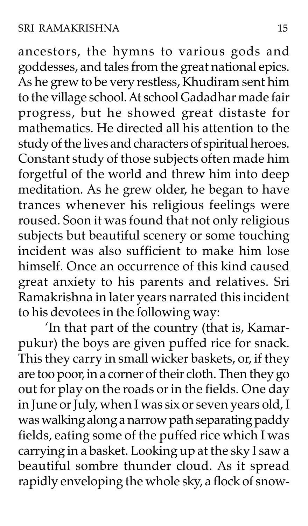ancestors, the hymns to various gods and goddesses, and tales from the great national epics. As he grew to be very restless, Khudiram sent him to the village school. At school Gadadhar made fair progress, but he showed great distaste for mathematics. He directed all his attention to the study of the lives and characters of spiritual heroes. Constant study of those subjects often made him forgetful of the world and threw him into deep meditation. As he grew older, he began to have trances whenever his religious feelings were roused. Soon it was found that not only religious subjects but beautiful scenery or some touching incident was also sufficient to make him lose himself. Once an occurrence of this kind caused great anxiety to his parents and relatives. Sri Ramakrishna in later years narrated this incident to his devotees in the following way:

'In that part of the country (that is, Kamarpukur) the boys are given puffed rice for snack. This they carry in small wicker baskets, or, if they are too poor, in a corner of their cloth. Then they go out for play on the roads or in the fields. One day in June or July, when I was six or seven years old, I was walking along a narrow path separating paddy fields, eating some of the puffed rice which I was carrying in a basket. Looking up at the sky I saw a beautiful sombre thunder cloud. As it spread rapidly enveloping the whole sky, a flock of snow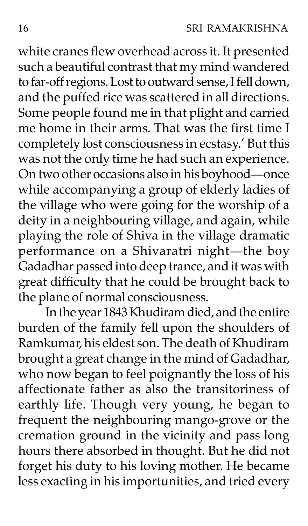white cranes flew overhead across it. It presented such a beautiful contrast that my mind wandered to far-off regions. Lost to outward sense, I fell down, and the puffed rice was scattered in all directions. Some people found me in that plight and carried me home in their arms. That was the first time I completely lost consciousness in ecstasy.' But this was not the only time he had such an experience. On two other occasions also in his boyhood—once while accompanying a group of elderly ladies of the village who were going for the worship of a deity in a neighbouring village, and again, while playing the role of Shiva in the village dramatic performance on a Shivaratri night-the boy Gadadhar passed into deep trance, and it was with great difficulty that he could be brought back to the plane of normal consciousness.

In the year 1843 Khudiram died, and the entire burden of the family fell upon the shoulders of Ramkumar, his eldest son. The death of Khudiram brought a great change in the mind of Gadadhar, who now began to feel poignantly the loss of his affectionate father as also the transitoriness of earthly life. Though very young, he began to frequent the neighbouring mango-grove or the cremation ground in the vicinity and pass long hours there absorbed in thought. But he did not forget his duty to his loving mother. He became less exacting in his importunities, and tried every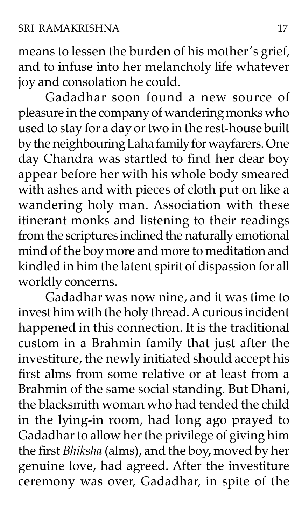means to lessen the burden of his mother's grief, and to infuse into her melancholy life whatever joy and consolation he could.

Gadadhar soon found a new source of pleasure in the company of wandering monks who used to stay for a day or two in the rest-house built by the neighbouring Laha family for wayfarers. One day Chandra was startled to find her dear boy appear before her with his whole body smeared with ashes and with pieces of cloth put on like a wandering holy man. Association with these itinerant monks and listening to their readings from the scriptures inclined the naturally emotional mind of the boy more and more to meditation and kindled in him the latent spirit of dispassion for all worldly concerns.

Gadadhar was now nine, and it was time to invest him with the holy thread. A curious incident happened in this connection. It is the traditional custom in a Brahmin family that just after the investiture, the newly initiated should accept his first alms from some relative or at least from a Brahmin of the same social standing. But Dhani, the blacksmith woman who had tended the child in the lying-in room, had long ago prayed to Gadadhar to allow her the privilege of giving him the first Bhiksha (alms), and the boy, moved by her genuine love, had agreed. After the investiture ceremony was over, Gadadhar, in spite of the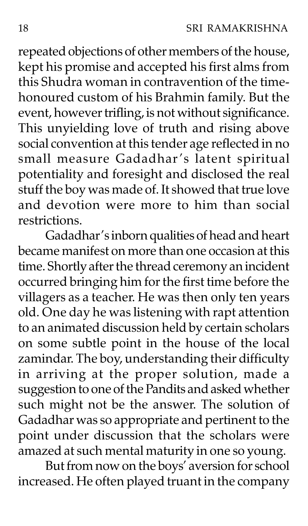repeated objections of other members of the house, kept his promise and accepted his first alms from this Shudra woman in contravention of the timehonoured custom of his Brahmin family. But the event, however trifling, is not without significance. This unyielding love of truth and rising above social convention at this tender age reflected in no small measure Gadadhar's latent spiritual potentiality and foresight and disclosed the real stuff the boy was made of. It showed that true love and devotion were more to him than social restrictions.

Gadadhar's inborn qualities of head and heart became manifest on more than one occasion at this time. Shortly after the thread ceremony an incident occurred bringing him for the first time before the villagers as a teacher. He was then only ten years old. One day he was listening with rapt attention to an animated discussion held by certain scholars on some subtle point in the house of the local zamindar. The boy, understanding their difficulty in arriving at the proper solution, made a suggestion to one of the Pandits and asked whether such might not be the answer. The solution of Gadadhar was so appropriate and pertinent to the point under discussion that the scholars were amazed at such mental maturity in one so young.

But from now on the boys' aversion for school increased. He often played truant in the company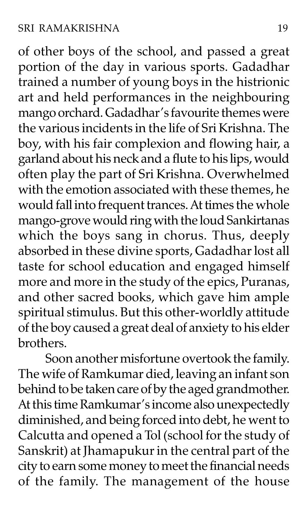of other boys of the school, and passed a great portion of the day in various sports. Gadadhar trained a number of young boys in the histrionic art and held performances in the neighbouring mango orchard. Gadadhar's favourite themes were the various incidents in the life of Sri Krishna. The boy, with his fair complexion and flowing hair, a garland about his neck and a flute to his lips, would often play the part of Sri Krishna. Overwhelmed with the emotion associated with these themes, he would fall into frequent trances. At times the whole mango-grove would ring with the loud Sankirtanas which the boys sang in chorus. Thus, deeply absorbed in these divine sports, Gadadhar lost all taste for school education and engaged himself more and more in the study of the epics, Puranas, and other sacred books, which gave him ample spiritual stimulus. But this other-worldly attitude of the boy caused a great deal of anxiety to his elder brothers.

Soon another misfortune overtook the family. The wife of Ramkumar died, leaving an infant son behind to be taken care of by the aged grandmother. At this time Ramkumar's income also unexpectedly diminished, and being forced into debt, he went to Calcutta and opened a Tol (school for the study of Sanskrit) at Jhamapukur in the central part of the city to earn some money to meet the financial needs of the family. The management of the house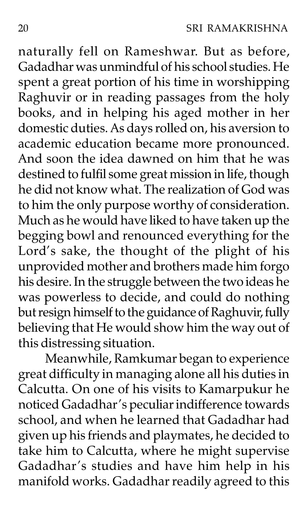naturally fell on Rameshwar. But as before, Gadadhar was unmindful of his school studies. He spent a great portion of his time in worshipping Raghuvir or in reading passages from the holy books, and in helping his aged mother in her domestic duties. As days rolled on, his aversion to academic education became more pronounced. And soon the idea dawned on him that he was destined to fulfil some great mission in life, though he did not know what. The realization of God was to him the only purpose worthy of consideration. Much as he would have liked to have taken up the begging bowl and renounced everything for the Lord's sake, the thought of the plight of his unprovided mother and brothers made him forgo his desire. In the struggle between the two ideas he was powerless to decide, and could do nothing but resign himself to the guidance of Raghuvir, fully believing that He would show him the way out of this distressing situation.

Meanwhile, Ramkumar began to experience great difficulty in managing alone all his duties in Calcutta. On one of his visits to Kamarpukur he noticed Gadadhar's peculiar indifference towards school, and when he learned that Gadadhar had given up his friends and playmates, he decided to take him to Calcutta, where he might supervise Gadadhar's studies and have him help in his manifold works. Gadadhar readily agreed to this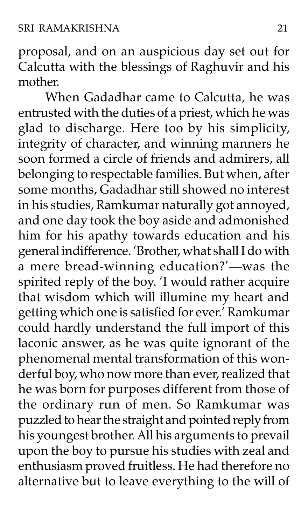proposal, and on an auspicious day set out for Calcutta with the blessings of Raghuvir and his mother.

When Gadadhar came to Calcutta, he was entrusted with the duties of a priest, which he was glad to discharge. Here too by his simplicity, integrity of character, and winning manners he soon formed a circle of friends and admirers, all belonging to respectable families. But when, after some months, Gadadhar still showed no interest in his studies, Ramkumar naturally got annoyed, and one day took the boy aside and admonished him for his apathy towards education and his general indifference. 'Brother, what shall I do with a mere bread-winning education?'—was the spirited reply of the boy. 'I would rather acquire that wisdom which will illumine my heart and getting which one is satisfied for ever.' Ramkumar could hardly understand the full import of this laconic answer, as he was quite ignorant of the phenomenal mental transformation of this wonderful boy, who now more than ever, realized that he was born for purposes different from those of the ordinary run of men. So Ramkumar was puzzled to hear the straight and pointed reply from his youngest brother. All his arguments to prevail upon the boy to pursue his studies with zeal and enthusiasm proved fruitless. He had therefore no alternative but to leave everything to the will of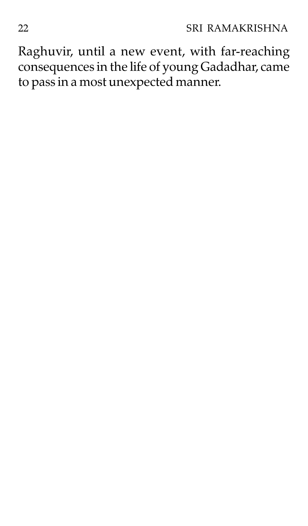Raghuvir, until a new event, with far-reaching consequences in the life of young Gadadhar, came to pass in a most unexpected manner.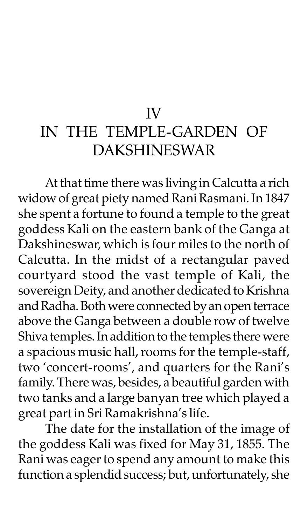#### IV

#### IN THE TEMPLE-GARDEN OF DAKSHINESWAR

At that time there was living in Calcutta a rich widow of great piety named Rani Rasmani. In 1847 she spent a fortune to found a temple to the great goddess Kali on the eastern bank of the Ganga at Dakshineswar, which is four miles to the north of Calcutta. In the midst of a rectangular paved courtyard stood the vast temple of Kali, the sovereign Deity, and another dedicated to Krishna and Radha. Both were connected by an open terrace above the Ganga between a double row of twelve Shiva temples. In addition to the temples there were a spacious music hall, rooms for the temple-staff, two 'concert-rooms', and quarters for the Rani's family. There was, besides, a beautiful garden with two tanks and a large banyan tree which played a great part in Sri Ramakrishnaís life.

The date for the installation of the image of the goddess Kali was fixed for May 31, 1855. The Rani was eager to spend any amount to make this function a splendid success; but, unfortunately, she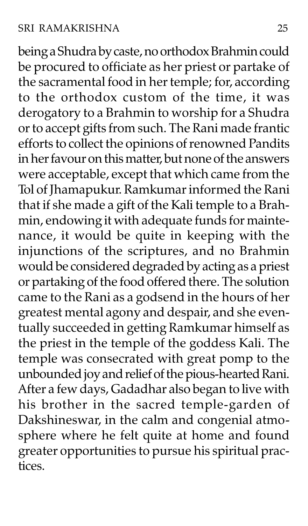being a Shudra by caste, no orthodox Brahmin could be procured to officiate as her priest or partake of the sacramental food in her temple; for, according to the orthodox custom of the time, it was derogatory to a Brahmin to worship for a Shudra or to accept gifts from such. The Rani made frantic efforts to collect the opinions of renowned Pandits in her favour on this matter, but none of the answers were acceptable, except that which came from the Tol of Jhamapukur. Ramkumar informed the Rani that if she made a gift of the Kali temple to a Brahmin, endowing it with adequate funds for maintenance, it would be quite in keeping with the injunctions of the scriptures, and no Brahmin would be considered degraded by acting as a priest or partaking of the food offered there. The solution came to the Rani as a godsend in the hours of her greatest mental agony and despair, and she eventually succeeded in getting Ramkumar himself as the priest in the temple of the goddess Kali. The temple was consecrated with great pomp to the unbounded joy and relief of the pious-hearted Rani. After a few days, Gadadhar also began to live with his brother in the sacred temple-garden of Dakshineswar, in the calm and congenial atmosphere where he felt quite at home and found greater opportunities to pursue his spiritual practices.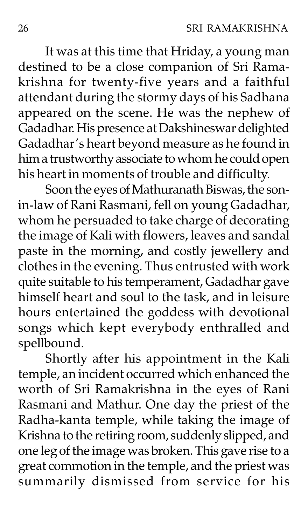It was at this time that Hriday, a young man destined to be a close companion of Sri Ramakrishna for twenty-five years and a faithful attendant during the stormy days of his Sadhana appeared on the scene. He was the nephew of Gadadhar. His presence at Dakshineswar delighted Gadadhar's heart beyond measure as he found in him a trustworthy associate to whom he could open his heart in moments of trouble and difficulty.

Soon the eyes of Mathuranath Biswas, the sonin-law of Rani Rasmani, fell on young Gadadhar, whom he persuaded to take charge of decorating the image of Kali with flowers, leaves and sandal paste in the morning, and costly jewellery and clothes in the evening. Thus entrusted with work quite suitable to his temperament, Gadadhar gave himself heart and soul to the task, and in leisure hours entertained the goddess with devotional songs which kept everybody enthralled and spellbound.

Shortly after his appointment in the Kali temple, an incident occurred which enhanced the worth of Sri Ramakrishna in the eyes of Rani Rasmani and Mathur. One day the priest of the Radha-kanta temple, while taking the image of Krishna to the retiring room, suddenly slipped, and one leg of the image was broken. This gave rise to a great commotion in the temple, and the priest was summarily dismissed from service for his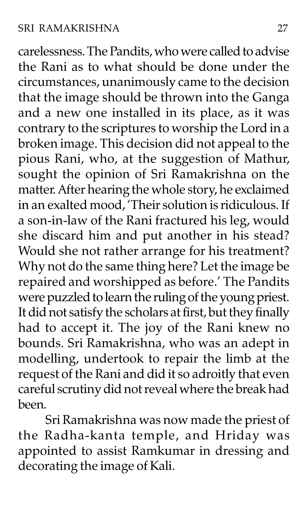carelessness. The Pandits, who were called to advise the Rani as to what should be done under the circumstances, unanimously came to the decision that the image should be thrown into the Ganga and a new one installed in its place, as it was contrary to the scriptures to worship the Lord in a broken image. This decision did not appeal to the pious Rani, who, at the suggestion of Mathur, sought the opinion of Sri Ramakrishna on the matter. After hearing the whole story, he exclaimed in an exalted mood, 'Their solution is ridiculous. If a son-in-law of the Rani fractured his leg, would she discard him and put another in his stead? Would she not rather arrange for his treatment? Why not do the same thing here? Let the image be repaired and worshipped as before.' The Pandits were puzzled to learn the ruling of the young priest. It did not satisfy the scholars at first, but they finally had to accept it. The joy of the Rani knew no bounds. Sri Ramakrishna, who was an adept in modelling, undertook to repair the limb at the request of the Rani and did it so adroitly that even careful scrutiny did not reveal where the break had been.

Sri Ramakrishna was now made the priest of the Radha-kanta temple, and Hriday was appointed to assist Ramkumar in dressing and decorating the image of Kali.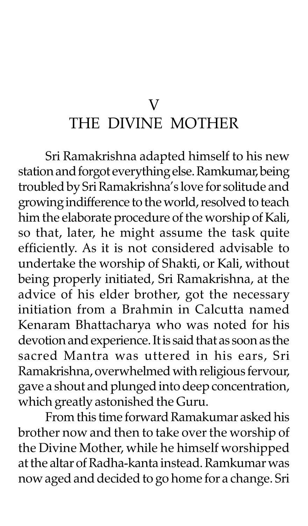### V THE DIVINE MOTHER

Sri Ramakrishna adapted himself to his new station and forgot everything else. Ramkumar, being troubled by Sri Ramakrishna's love for solitude and growing indifference to the world, resolved to teach him the elaborate procedure of the worship of Kali, so that, later, he might assume the task quite efficiently. As it is not considered advisable to undertake the worship of Shakti, or Kali, without being properly initiated, Sri Ramakrishna, at the advice of his elder brother, got the necessary initiation from a Brahmin in Calcutta named Kenaram Bhattacharya who was noted for his devotion and experience. It is said that as soon as the sacred Mantra was uttered in his ears, Sri Ramakrishna, overwhelmed with religious fervour, gave a shout and plunged into deep concentration, which greatly astonished the Guru.

From this time forward Ramakumar asked his brother now and then to take over the worship of the Divine Mother, while he himself worshipped at the altar of Radha-kanta instead. Ramkumar was now aged and decided to go home for a change. Sri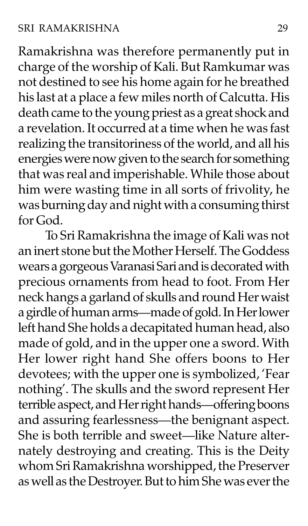Ramakrishna was therefore permanently put in charge of the worship of Kali. But Ramkumar was not destined to see his home again for he breathed his last at a place a few miles north of Calcutta. His death came to the young priest as a great shock and a revelation. It occurred at a time when he was fast realizing the transitoriness of the world, and all his energies were now given to the search for something that was real and imperishable. While those about him were wasting time in all sorts of frivolity, he was burning day and night with a consuming thirst for God.

To Sri Ramakrishna the image of Kali was not an inert stone but the Mother Herself. The Goddess wears a gorgeous Varanasi Sari and is decorated with precious ornaments from head to foot. From Her neck hangs a garland of skulls and round Her waist a girdle of human arms-made of gold. In Her lower left hand She holds a decapitated human head, also made of gold, and in the upper one a sword. With Her lower right hand She offers boons to Her devotees; with the upper one is symbolized, 'Fear nothing'. The skulls and the sword represent Her terrible aspect, and Her right hands-offering boons and assuring fearlessness—the benignant aspect. She is both terrible and sweet—like Nature alternately destroying and creating. This is the Deity whom Sri Ramakrishna worshipped, the Preserver as well as the Destroyer. But to him She was ever the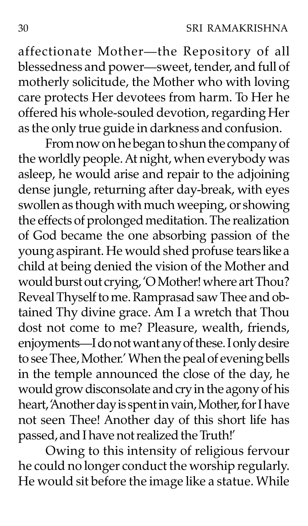affectionate Mother-the Repository of all blessedness and power-sweet, tender, and full of motherly solicitude, the Mother who with loving care protects Her devotees from harm. To Her he offered his whole-souled devotion, regarding Her as the only true guide in darkness and confusion.

From now on he began to shun the company of the worldly people. At night, when everybody was asleep, he would arise and repair to the adjoining dense jungle, returning after day-break, with eyes swollen as though with much weeping, or showing the effects of prolonged meditation. The realization of God became the one absorbing passion of the young aspirant. He would shed profuse tears like a child at being denied the vision of the Mother and would burst out crying, 'O Mother! where art Thou? Reveal Thyself to me. Ramprasad saw Thee and obtained Thy divine grace. Am I a wretch that Thou dost not come to me? Pleasure, wealth, friends, enjoyments—I do not want any of these. I only desire to see Thee, Mother.' When the peal of evening bells in the temple announced the close of the day, he would grow disconsolate and cry in the agony of his heart, 'Another day is spent in vain, Mother, for I have not seen Thee! Another day of this short life has passed, and I have not realized the Truth!'

Owing to this intensity of religious fervour he could no longer conduct the worship regularly. He would sit before the image like a statue. While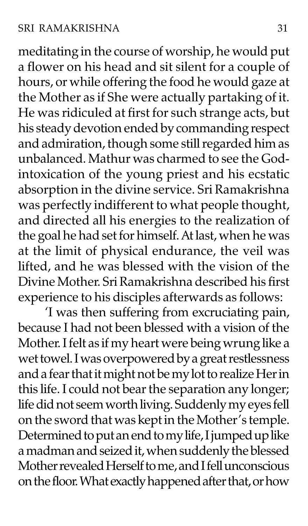meditating in the course of worship, he would put a flower on his head and sit silent for a couple of hours, or while offering the food he would gaze at the Mother as if She were actually partaking of it. He was ridiculed at first for such strange acts, but his steady devotion ended by commanding respect and admiration, though some still regarded him as unbalanced. Mathur was charmed to see the Godintoxication of the young priest and his ecstatic absorption in the divine service. Sri Ramakrishna was perfectly indifferent to what people thought, and directed all his energies to the realization of the goal he had set for himself. At last, when he was at the limit of physical endurance, the veil was lifted, and he was blessed with the vision of the Divine Mother. Sri Ramakrishna described his first experience to his disciples afterwards as follows:

'I was then suffering from excruciating pain, because I had not been blessed with a vision of the Mother. I felt as if my heart were being wrung like a wet towel. I was overpowered by a great restlessness and a fear that it might not be my lot to realize Her in this life. I could not bear the separation any longer; life did not seem worth living. Suddenly my eyes fell on the sword that was kept in the Mother's temple. Determined to put an end to my life, I jumped up like a madman and seized it, when suddenly the blessed Mother revealed Herself to me, and I fell unconscious on the floor. What exactly happened after that, or how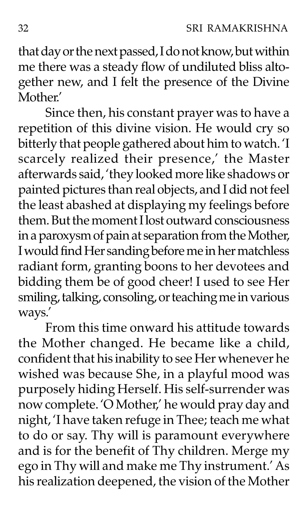that day or the next passed, I do not know, but within me there was a steady flow of undiluted bliss altogether new, and I felt the presence of the Divine Mother.

Since then, his constant prayer was to have a repetition of this divine vision. He would cry so bitterly that people gathered about him to watch. 'I scarcely realized their presence,' the Master afterwards said, 'they looked more like shadows or painted pictures than real objects, and I did not feel the least abashed at displaying my feelings before them. But the moment I lost outward consciousness in a paroxysm of pain at separation from the Mother, I would find Her sanding before me in her matchless radiant form, granting boons to her devotees and bidding them be of good cheer! I used to see Her smiling, talking, consoling, or teaching me in various ways.'

From this time onward his attitude towards the Mother changed. He became like a child, confident that his inability to see Her whenever he wished was because She, in a playful mood was purposely hiding Herself. His self-surrender was now complete. 'O Mother,' he would pray day and night, 'I have taken refuge in Thee; teach me what to do or say. Thy will is paramount everywhere and is for the benefit of Thy children. Merge my ego in Thy will and make me Thy instrument.' As his realization deepened, the vision of the Mother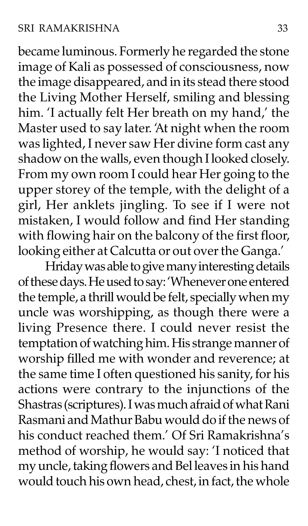became luminous. Formerly he regarded the stone image of Kali as possessed of consciousness, now the image disappeared, and in its stead there stood the Living Mother Herself, smiling and blessing him. 'I actually felt Her breath on my hand,' the Master used to say later. 'At night when the room was lighted, I never saw Her divine form cast any shadow on the walls, even though I looked closely. From my own room I could hear Her going to the upper storey of the temple, with the delight of a girl, Her anklets jingling. To see if I were not mistaken, I would follow and find Her standing with flowing hair on the balcony of the first floor, looking either at Calcutta or out over the Ganga.'

Hriday was able to give many interesting details of these days. He used to say: 'Whenever one entered the temple, a thrill would be felt, specially when my uncle was worshipping, as though there were a living Presence there. I could never resist the temptation of watching him. His strange manner of worship filled me with wonder and reverence; at the same time I often questioned his sanity, for his actions were contrary to the injunctions of the Shastras (scriptures). I was much afraid of what Rani Rasmani and Mathur Babu would do if the news of his conduct reached them.' Of Sri Ramakrishna's method of worship, he would say: 'I noticed that my uncle, taking flowers and Bel leaves in his hand would touch his own head, chest, in fact, the whole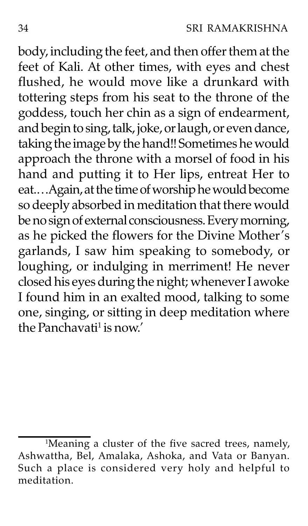body, including the feet, and then offer them at the feet of Kali. At other times, with eyes and chest flushed, he would move like a drunkard with tottering steps from his seat to the throne of the goddess, touch her chin as a sign of endearment, and begin to sing, talk, joke, or laugh, or even dance, taking the image by the hand!! Sometimes he would approach the throne with a morsel of food in his hand and putting it to Her lips, entreat Her to eat....Again, at the time of worship he would become so deeply absorbed in meditation that there would be no sign of external consciousness. Every morning, as he picked the flowers for the Divine Mother's garlands, I saw him speaking to somebody, or loughing, or indulging in merriment! He never closed his eyes during the night; whenever I awoke I found him in an exalted mood, talking to some one, singing, or sitting in deep meditation where the Panchavati<sup>1</sup> is now.'

<sup>&</sup>lt;sup>1</sup>Meaning a cluster of the five sacred trees, namely, Ashwattha, Bel, Amalaka, Ashoka, and Vata or Banyan. Such a place is considered very holy and helpful to meditation.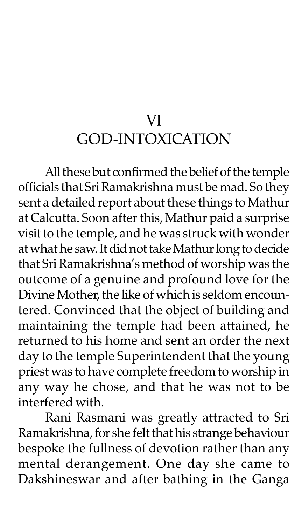## VI GOD-INTOXICATION

All these but confirmed the belief of the temple officials that Sri Ramakrishna must be mad. So they sent a detailed report about these things to Mathur at Calcutta. Soon after this, Mathur paid a surprise visit to the temple, and he was struck with wonder at what he saw. It did not take Mathur long to decide that Sri Ramakrishna's method of worship was the outcome of a genuine and profound love for the Divine Mother, the like of which is seldom encountered. Convinced that the object of building and maintaining the temple had been attained, he returned to his home and sent an order the next day to the temple Superintendent that the young priest was to have complete freedom to worship in any way he chose, and that he was not to be interfered with.

Rani Rasmani was greatly attracted to Sri Ramakrishna, for she felt that his strange behaviour bespoke the fullness of devotion rather than any mental derangement. One day she came to Dakshineswar and after bathing in the Ganga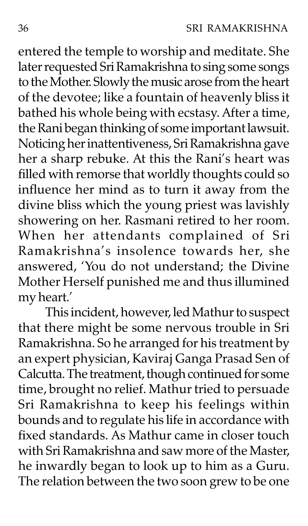entered the temple to worship and meditate. She later requested Sri Ramakrishna to sing some songs to the Mother. Slowly the music arose from the heart of the devotee; like a fountain of heavenly bliss it bathed his whole being with ecstasy. After a time, the Rani began thinking of some important lawsuit. Noticing her inattentiveness, Sri Ramakrishna gave her a sharp rebuke. At this the Rani's heart was filled with remorse that worldly thoughts could so influence her mind as to turn it away from the divine bliss which the young priest was lavishly showering on her. Rasmani retired to her room. When her attendants complained of Sri Ramakrishnaís insolence towards her, she answered, 'You do not understand; the Divine Mother Herself punished me and thus illumined my heart.'

This incident, however, led Mathur to suspect that there might be some nervous trouble in Sri Ramakrishna. So he arranged for his treatment by an expert physician, Kaviraj Ganga Prasad Sen of Calcutta. The treatment, though continued for some time, brought no relief. Mathur tried to persuade Sri Ramakrishna to keep his feelings within bounds and to regulate his life in accordance with fixed standards. As Mathur came in closer touch with Sri Ramakrishna and saw more of the Master, he inwardly began to look up to him as a Guru. The relation between the two soon grew to be one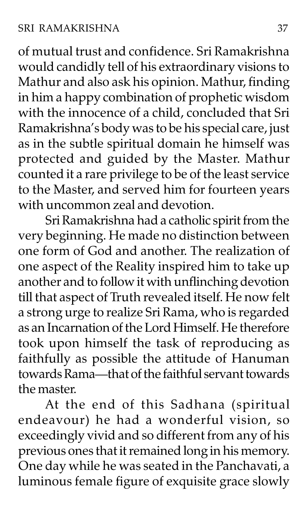of mutual trust and confidence. Sri Ramakrishna would candidly tell of his extraordinary visions to Mathur and also ask his opinion. Mathur, finding in him a happy combination of prophetic wisdom with the innocence of a child, concluded that Sri Ramakrishnaís body was to be his special care, just as in the subtle spiritual domain he himself was protected and guided by the Master. Mathur counted it a rare privilege to be of the least service to the Master, and served him for fourteen years with uncommon zeal and devotion.

Sri Ramakrishna had a catholic spirit from the very beginning. He made no distinction between one form of God and another. The realization of one aspect of the Reality inspired him to take up another and to follow it with unflinching devotion till that aspect of Truth revealed itself. He now felt a strong urge to realize Sri Rama, who is regarded as an Incarnation of the Lord Himself. He therefore took upon himself the task of reproducing as faithfully as possible the attitude of Hanuman towards Rama-that of the faithful servant towards the master.

At the end of this Sadhana (spiritual endeavour) he had a wonderful vision, so exceedingly vivid and so different from any of his previous ones that it remained long in his memory. One day while he was seated in the Panchavati, a luminous female figure of exquisite grace slowly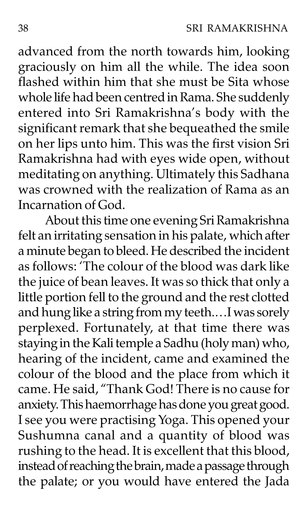advanced from the north towards him, looking graciously on him all the while. The idea soon flashed within him that she must be Sita whose whole life had been centred in Rama. She suddenly entered into Sri Ramakrishna's body with the significant remark that she bequeathed the smile on her lips unto him. This was the first vision Sri Ramakrishna had with eyes wide open, without meditating on anything. Ultimately this Sadhana was crowned with the realization of Rama as an Incarnation of God.

About this time one evening Sri Ramakrishna felt an irritating sensation in his palate, which after a minute began to bleed. He described the incident as follows: 'The colour of the blood was dark like the juice of bean leaves. It was so thick that only a little portion fell to the ground and the rest clotted and hung like a string from my teeth.... I was sorely perplexed. Fortunately, at that time there was staying in the Kali temple a Sadhu (holy man) who, hearing of the incident, came and examined the colour of the blood and the place from which it came. He said, "Thank God! There is no cause for anxiety. This haemorrhage has done you great good. I see you were practising Yoga. This opened your Sushumna canal and a quantity of blood was rushing to the head. It is excellent that this blood, instead of reaching the brain, made a passage through the palate; or you would have entered the Jada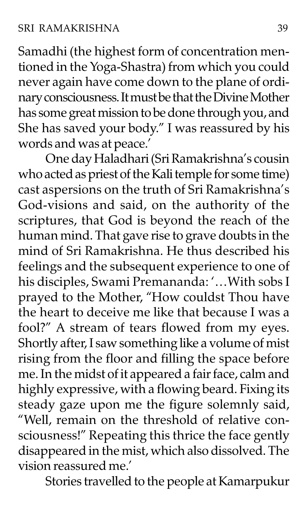Samadhi (the highest form of concentration mentioned in the Yoga-Shastra) from which you could never again have come down to the plane of ordinary consciousness. It must be that the Divine Mother has some great mission to be done through you, and She has saved your body." I was reassured by his words and was at peace.

One day Haladhari (Sri Ramakrishnaís cousin who acted as priest of the Kali temple for some time) cast aspersions on the truth of Sri Ramakrishna's God-visions and said, on the authority of the scriptures, that God is beyond the reach of the human mind. That gave rise to grave doubts in the mind of Sri Ramakrishna. He thus described his feelings and the subsequent experience to one of his disciples, Swami Premananda: '... With sobs I prayed to the Mother, "How couldst Thou have the heart to deceive me like that because I was a fool?" A stream of tears flowed from my eyes. Shortly after, I saw something like a volume of mist rising from the floor and filling the space before me. In the midst of it appeared a fair face, calm and highly expressive, with a flowing beard. Fixing its steady gaze upon me the figure solemnly said, "Well, remain on the threshold of relative consciousness!" Repeating this thrice the face gently disappeared in the mist, which also dissolved. The vision reassured me.'

Stories travelled to the people at Kamarpukur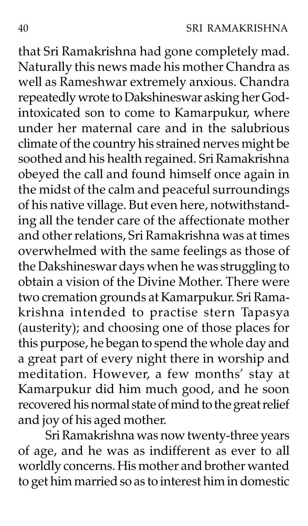that Sri Ramakrishna had gone completely mad. Naturally this news made his mother Chandra as well as Rameshwar extremely anxious. Chandra repeatedly wrote to Dakshineswar asking her Godintoxicated son to come to Kamarpukur, where under her maternal care and in the salubrious climate of the country his strained nerves might be soothed and his health regained. Sri Ramakrishna obeyed the call and found himself once again in the midst of the calm and peaceful surroundings of his native village. But even here, notwithstanding all the tender care of the affectionate mother and other relations, Sri Ramakrishna was at times overwhelmed with the same feelings as those of the Dakshineswar days when he was struggling to obtain a vision of the Divine Mother. There were two cremation grounds at Kamarpukur. Sri Ramakrishna intended to practise stern Tapasya (austerity); and choosing one of those places for this purpose, he began to spend the whole day and a great part of every night there in worship and meditation. However, a few months' stay at Kamarpukur did him much good, and he soon recovered his normal state of mind to the great relief and joy of his aged mother.

Sri Ramakrishna was now twenty-three years of age, and he was as indifferent as ever to all worldly concerns. His mother and brother wanted to get him married so as to interest him in domestic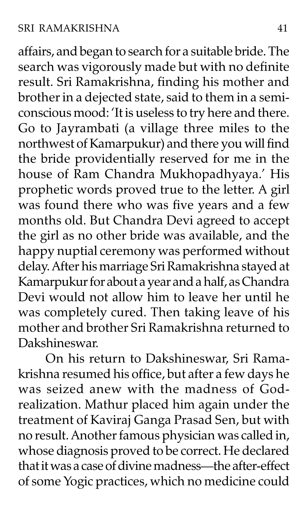affairs, and began to search for a suitable bride. The search was vigorously made but with no definite result. Sri Ramakrishna, finding his mother and brother in a dejected state, said to them in a semiconscious mood: 'It is useless to try here and there. Go to Jayrambati (a village three miles to the northwest of Kamarpukur) and there you will find the bride providentially reserved for me in the house of Ram Chandra Mukhopadhyaya.' His prophetic words proved true to the letter. A girl was found there who was five years and a few months old. But Chandra Devi agreed to accept the girl as no other bride was available, and the happy nuptial ceremony was performed without delay. After his marriage Sri Ramakrishna stayed at Kamarpukur for about a year and a half, as Chandra Devi would not allow him to leave her until he was completely cured. Then taking leave of his mother and brother Sri Ramakrishna returned to Dakshineswar.

On his return to Dakshineswar, Sri Ramakrishna resumed his office, but after a few days he was seized anew with the madness of Godrealization. Mathur placed him again under the treatment of Kaviraj Ganga Prasad Sen, but with no result. Another famous physician was called in, whose diagnosis proved to be correct. He declared that it was a case of divine madness—the after-effect of some Yogic practices, which no medicine could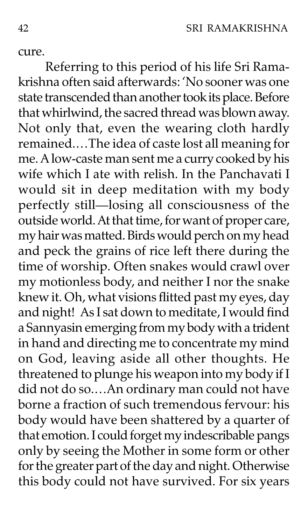cure.

Referring to this period of his life Sri Ramakrishna often said afterwards: 'No sooner was one state transcended than another took its place. Before that whirlwind, the sacred thread was blown away. Not only that, even the wearing cloth hardly remained....The idea of caste lost all meaning for me. A low-caste man sent me a curry cooked by his wife which I ate with relish. In the Panchavati I would sit in deep meditation with my body perfectly still-losing all consciousness of the outside world. At that time, for want of proper care, my hair was matted. Birds would perch on my head and peck the grains of rice left there during the time of worship. Often snakes would crawl over my motionless body, and neither I nor the snake knew it. Oh, what visions flitted past my eyes, day and night! As I sat down to meditate, I would find a Sannyasin emerging from my body with a trident in hand and directing me to concentrate my mind on God, leaving aside all other thoughts. He threatened to plunge his weapon into my body if I did not do so....An ordinary man could not have borne a fraction of such tremendous fervour: his body would have been shattered by a quarter of that emotion. I could forget my indescribable pangs only by seeing the Mother in some form or other for the greater part of the day and night. Otherwise this body could not have survived. For six years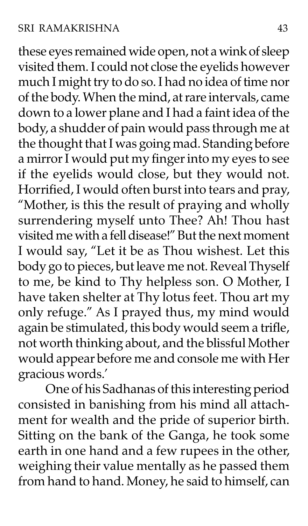these eyes remained wide open, not a wink of sleep visited them. I could not close the eyelids however much I might try to do so. I had no idea of time nor of the body. When the mind, at rare intervals, came down to a lower plane and I had a faint idea of the body, a shudder of pain would pass through me at the thought that I was going mad. Standing before a mirror I would put my finger into my eyes to see if the eyelids would close, but they would not. Horrified, I would often burst into tears and pray, "Mother, is this the result of praying and wholly surrendering myself unto Thee? Ah! Thou hast visited me with a fell disease!" But the next moment I would say, "Let it be as Thou wishest. Let this body go to pieces, but leave me not. Reveal Thyself to me, be kind to Thy helpless son. O Mother, I have taken shelter at Thy lotus feet. Thou art my only refuge." As I prayed thus, my mind would again be stimulated, this body would seem a trifle, not worth thinking about, and the blissful Mother would appear before me and console me with Her gracious words.'

One of his Sadhanas of this interesting period consisted in banishing from his mind all attachment for wealth and the pride of superior birth. Sitting on the bank of the Ganga, he took some earth in one hand and a few rupees in the other, weighing their value mentally as he passed them from hand to hand. Money, he said to himself, can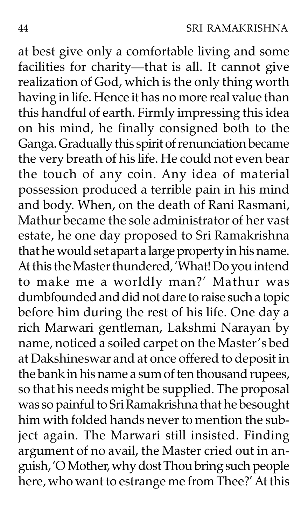at best give only a comfortable living and some facilities for charity-that is all. It cannot give realization of God, which is the only thing worth having in life. Hence it has no more real value than this handful of earth. Firmly impressing this idea on his mind, he finally consigned both to the Ganga. Gradually this spirit of renunciation became the very breath of his life. He could not even bear the touch of any coin. Any idea of material possession produced a terrible pain in his mind and body. When, on the death of Rani Rasmani, Mathur became the sole administrator of her vast estate, he one day proposed to Sri Ramakrishna that he would set apart a large property in his name. At this the Master thundered, 'What! Do you intend to make me a worldly man?' Mathur was dumbfounded and did not dare to raise such a topic before him during the rest of his life. One day a rich Marwari gentleman, Lakshmi Narayan by name, noticed a soiled carpet on the Master's bed at Dakshineswar and at once offered to deposit in the bank in his name a sum of ten thousand rupees, so that his needs might be supplied. The proposal was so painful to Sri Ramakrishna that he besought him with folded hands never to mention the subject again. The Marwari still insisted. Finding argument of no avail, the Master cried out in anguish, ëO Mother, why dost Thou bring such people here, who want to estrange me from Thee?' At this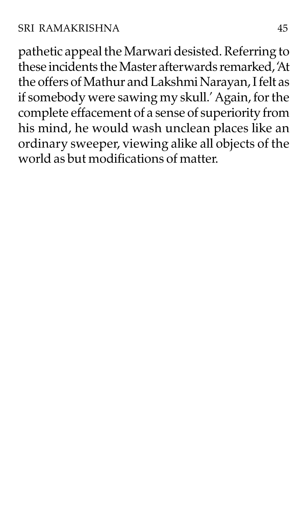#### SRI RAMAKRISHNA 45

pathetic appeal the Marwari desisted. Referring to these incidents the Master afterwards remarked. 'At the offers of Mathur and Lakshmi Narayan, I felt as if somebody were sawing my skull.' Again, for the complete effacement of a sense of superiority from his mind, he would wash unclean places like an ordinary sweeper, viewing alike all objects of the world as but modifications of matter.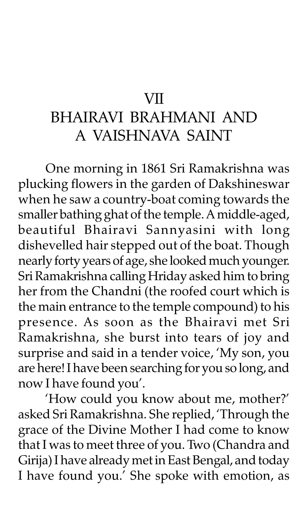#### VII

# BHAIRAVI BRAHMANI AND A VAISHNAVA SAINT

One morning in 1861 Sri Ramakrishna was plucking flowers in the garden of Dakshineswar when he saw a country-boat coming towards the smaller bathing ghat of the temple. A middle-aged, beautiful Bhairavi Sannyasini with long dishevelled hair stepped out of the boat. Though nearly forty years of age, she looked much younger. Sri Ramakrishna calling Hriday asked him to bring her from the Chandni (the roofed court which is the main entrance to the temple compound) to his presence. As soon as the Bhairavi met Sri Ramakrishna, she burst into tears of joy and surprise and said in a tender voice, 'My son, you are here! I have been searching for you so long, and now I have found you'.

'How could you know about me, mother?' asked Sri Ramakrishna. She replied, 'Through the grace of the Divine Mother I had come to know that I was to meet three of you. Two (Chandra and Girija) I have already met in East Bengal, and today I have found you.' She spoke with emotion, as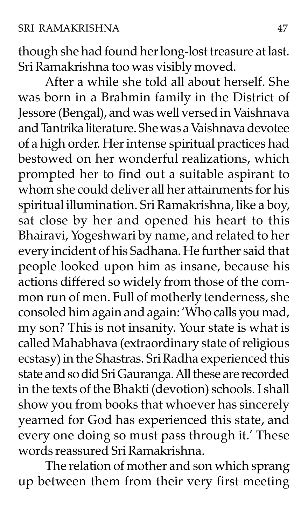though she had found her long-lost treasure at last. Sri Ramakrishna too was visibly moved.

After a while she told all about herself. She was born in a Brahmin family in the District of Jessore (Bengal), and was well versed in Vaishnava and Tantrika literature. She was a Vaishnava devotee of a high order. Her intense spiritual practices had bestowed on her wonderful realizations, which prompted her to find out a suitable aspirant to whom she could deliver all her attainments for his spiritual illumination. Sri Ramakrishna, like a boy, sat close by her and opened his heart to this Bhairavi, Yogeshwari by name, and related to her every incident of his Sadhana. He further said that people looked upon him as insane, because his actions differed so widely from those of the common run of men. Full of motherly tenderness, she consoled him again and again: 'Who calls you mad, my son? This is not insanity. Your state is what is called Mahabhava (extraordinary state of religious ecstasy) in the Shastras. Sri Radha experienced this state and so did Sri Gauranga. All these are recorded in the texts of the Bhakti (devotion) schools. I shall show you from books that whoever has sincerely yearned for God has experienced this state, and every one doing so must pass through it.' These words reassured Sri Ramakrishna.

The relation of mother and son which sprang up between them from their very first meeting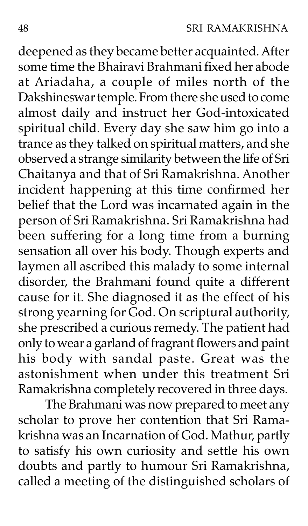deepened as they became better acquainted. After some time the Bhairavi Brahmani fixed her abode at Ariadaha, a couple of miles north of the Dakshineswar temple. From there she used to come almost daily and instruct her God-intoxicated spiritual child. Every day she saw him go into a trance as they talked on spiritual matters, and she observed a strange similarity between the life of Sri Chaitanya and that of Sri Ramakrishna. Another incident happening at this time confirmed her belief that the Lord was incarnated again in the person of Sri Ramakrishna. Sri Ramakrishna had been suffering for a long time from a burning sensation all over his body. Though experts and laymen all ascribed this malady to some internal disorder, the Brahmani found quite a different cause for it. She diagnosed it as the effect of his strong yearning for God. On scriptural authority, she prescribed a curious remedy. The patient had only to wear a garland of fragrant flowers and paint his body with sandal paste. Great was the astonishment when under this treatment Sri Ramakrishna completely recovered in three days.

The Brahmani was now prepared to meet any scholar to prove her contention that Sri Ramakrishna was an Incarnation of God. Mathur, partly to satisfy his own curiosity and settle his own doubts and partly to humour Sri Ramakrishna, called a meeting of the distinguished scholars of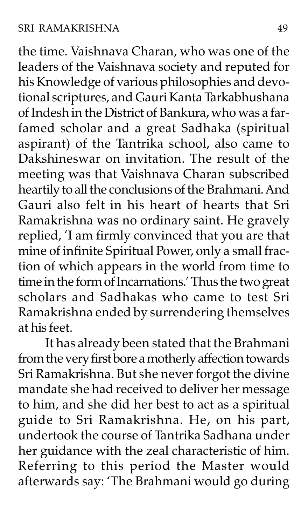the time. Vaishnava Charan, who was one of the leaders of the Vaishnava society and reputed for his Knowledge of various philosophies and devotional scriptures, and Gauri Kanta Tarkabhushana of Indesh in the District of Bankura, who was a farfamed scholar and a great Sadhaka (spiritual aspirant) of the Tantrika school, also came to Dakshineswar on invitation. The result of the meeting was that Vaishnava Charan subscribed heartily to all the conclusions of the Brahmani. And Gauri also felt in his heart of hearts that Sri Ramakrishna was no ordinary saint. He gravely replied, 'I am firmly convinced that you are that mine of infinite Spiritual Power, only a small fraction of which appears in the world from time to time in the form of Incarnations.' Thus the two great scholars and Sadhakas who came to test Sri Ramakrishna ended by surrendering themselves at his feet.

It has already been stated that the Brahmani from the very first bore a motherly affection towards Sri Ramakrishna. But she never forgot the divine mandate she had received to deliver her message to him, and she did her best to act as a spiritual guide to Sri Ramakrishna. He, on his part, undertook the course of Tantrika Sadhana under her guidance with the zeal characteristic of him. Referring to this period the Master would afterwards say: 'The Brahmani would go during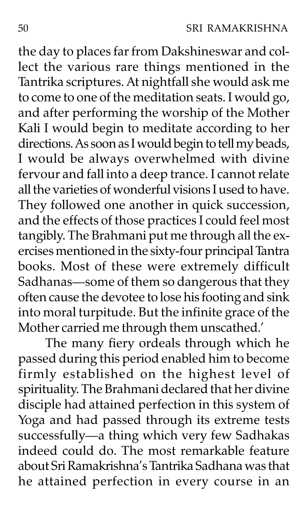the day to places far from Dakshineswar and collect the various rare things mentioned in the Tantrika scriptures. At nightfall she would ask me to come to one of the meditation seats. I would go, and after performing the worship of the Mother Kali I would begin to meditate according to her directions. As soon as I would begin to tell my beads, I would be always overwhelmed with divine fervour and fall into a deep trance. I cannot relate all the varieties of wonderful visions I used to have. They followed one another in quick succession, and the effects of those practices I could feel most tangibly. The Brahmani put me through all the exercises mentioned in the sixty-four principal Tantra books. Most of these were extremely difficult Sadhanas-some of them so dangerous that they often cause the devotee to lose his footing and sink into moral turpitude. But the infinite grace of the Mother carried me through them unscathed.'

The many fiery ordeals through which he passed during this period enabled him to become firmly established on the highest level of spirituality. The Brahmani declared that her divine disciple had attained perfection in this system of Yoga and had passed through its extreme tests successfully-a thing which very few Sadhakas indeed could do. The most remarkable feature about Sri Ramakrishnaís Tantrika Sadhana was that he attained perfection in every course in an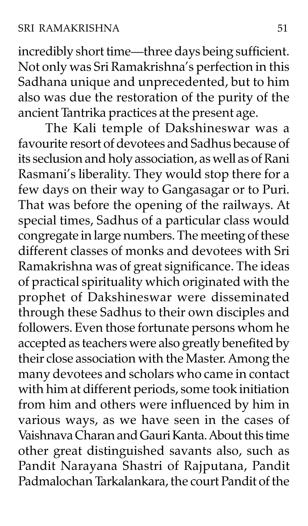incredibly short time—three days being sufficient. Not only was Sri Ramakrishna's perfection in this Sadhana unique and unprecedented, but to him also was due the restoration of the purity of the ancient Tantrika practices at the present age.

The Kali temple of Dakshineswar was a favourite resort of devotees and Sadhus because of its seclusion and holy association, as well as of Rani Rasmani's liberality. They would stop there for a few days on their way to Gangasagar or to Puri. That was before the opening of the railways. At special times, Sadhus of a particular class would congregate in large numbers. The meeting of these different classes of monks and devotees with Sri Ramakrishna was of great significance. The ideas of practical spirituality which originated with the prophet of Dakshineswar were disseminated through these Sadhus to their own disciples and followers. Even those fortunate persons whom he accepted as teachers were also greatly benefited by their close association with the Master. Among the many devotees and scholars who came in contact with him at different periods, some took initiation from him and others were influenced by him in various ways, as we have seen in the cases of Vaishnava Charan and Gauri Kanta. About this time other great distinguished savants also, such as Pandit Narayana Shastri of Rajputana, Pandit Padmalochan Tarkalankara, the court Pandit of the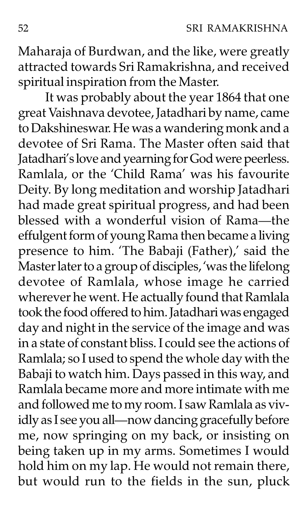Maharaja of Burdwan, and the like, were greatly attracted towards Sri Ramakrishna, and received spiritual inspiration from the Master.

It was probably about the year 1864 that one great Vaishnava devotee, Jatadhari by name, came to Dakshineswar. He was a wandering monk and a devotee of Sri Rama. The Master often said that Jatadhari's love and yearning for God were peerless. Ramlala, or the 'Child Rama' was his favourite Deity. By long meditation and worship Jatadhari had made great spiritual progress, and had been blessed with a wonderful vision of Rama-the effulgent form of young Rama then became a living presence to him. 'The Babaji (Father),' said the Master later to a group of disciples, 'was the lifelong devotee of Ramlala, whose image he carried wherever he went. He actually found that Ramlala took the food offered to him. Jatadhari was engaged day and night in the service of the image and was in a state of constant bliss. I could see the actions of Ramlala; so I used to spend the whole day with the Babaji to watch him. Days passed in this way, and Ramlala became more and more intimate with me and followed me to my room. I saw Ramlala as vividly as I see you all—now dancing gracefully before me, now springing on my back, or insisting on being taken up in my arms. Sometimes I would hold him on my lap. He would not remain there, but would run to the fields in the sun, pluck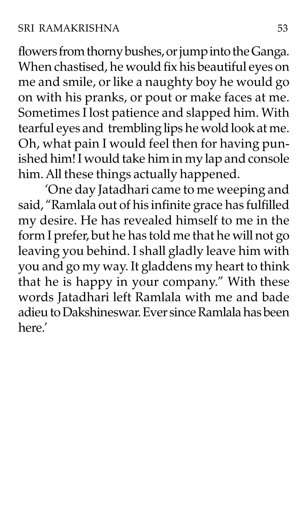flowers from thorny bushes, or jump into the Ganga. When chastised, he would fix his beautiful eyes on me and smile, or like a naughty boy he would go on with his pranks, or pout or make faces at me. Sometimes I lost patience and slapped him. With tearful eyes and trembling lips he wold look at me. Oh, what pain I would feel then for having punished him! I would take him in my lap and console him. All these things actually happened.

'One day Jatadhari came to me weeping and said, "Ramlala out of his infinite grace has fulfilled my desire. He has revealed himself to me in the form I prefer, but he has told me that he will not go leaving you behind. I shall gladly leave him with you and go my way. It gladdens my heart to think that he is happy in your company." With these words Jatadhari left Ramlala with me and bade adieu to Dakshineswar. Ever since Ramlala has been here<sup>'</sup>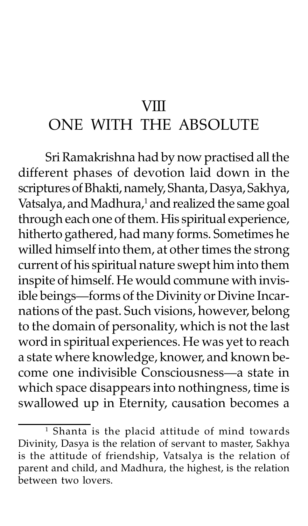### VIII ONE WITH THE ABSOLUTE

Sri Ramakrishna had by now practised all the different phases of devotion laid down in the scriptures of Bhakti, namely, Shanta, Dasya, Sakhya, Vatsalya, and Madhura,<sup>1</sup> and realized the same goal through each one of them. His spiritual experience, hitherto gathered, had many forms. Sometimes he willed himself into them, at other times the strong current of his spiritual nature swept him into them inspite of himself. He would commune with invisible beings-forms of the Divinity or Divine Incarnations of the past. Such visions, however, belong to the domain of personality, which is not the last word in spiritual experiences. He was yet to reach a state where knowledge, knower, and known become one indivisible Consciousness—a state in which space disappears into nothingness, time is swallowed up in Eternity, causation becomes a

<sup>1</sup> Shanta is the placid attitude of mind towards Divinity, Dasya is the relation of servant to master, Sakhya is the attitude of friendship, Vatsalya is the relation of parent and child, and Madhura, the highest, is the relation between two lovers.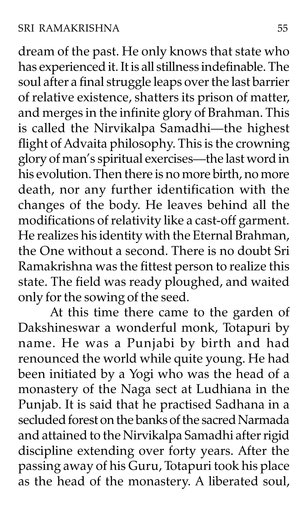dream of the past. He only knows that state who has experienced it. It is all stillness indefinable. The soul after a final struggle leaps over the last barrier of relative existence, shatters its prison of matter, and merges in the infinite glory of Brahman. This is called the Nirvikalpa Samadhi-the highest flight of Advaita philosophy. This is the crowning glory of man's spiritual exercises—the last word in his evolution. Then there is no more birth, no more death, nor any further identification with the changes of the body. He leaves behind all the modifications of relativity like a cast-off garment. He realizes his identity with the Eternal Brahman, the One without a second. There is no doubt Sri Ramakrishna was the fittest person to realize this state. The field was ready ploughed, and waited only for the sowing of the seed.

 At this time there came to the garden of Dakshineswar a wonderful monk, Totapuri by name. He was a Punjabi by birth and had renounced the world while quite young. He had been initiated by a Yogi who was the head of a monastery of the Naga sect at Ludhiana in the Punjab. It is said that he practised Sadhana in a secluded forest on the banks of the sacred Narmada and attained to the Nirvikalpa Samadhi after rigid discipline extending over forty years. After the passing away of his Guru, Totapuri took his place as the head of the monastery. A liberated soul,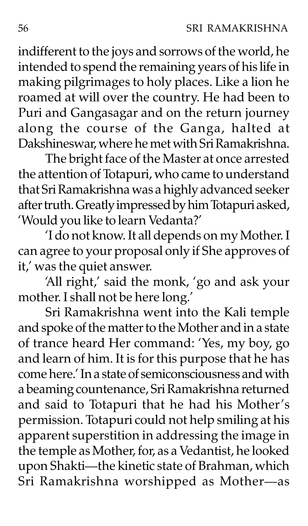indifferent to the joys and sorrows of the world, he intended to spend the remaining years of his life in making pilgrimages to holy places. Like a lion he roamed at will over the country. He had been to Puri and Gangasagar and on the return journey along the course of the Ganga, halted at Dakshineswar, where he met with Sri Ramakrishna.

The bright face of the Master at once arrested the attention of Totapuri, who came to understand that Sri Ramakrishna was a highly advanced seeker after truth. Greatly impressed by him Totapuri asked, 'Would you like to learn Vedanta?'

'I do not know. It all depends on my Mother. I can agree to your proposal only if She approves of it,' was the quiet answer.

'All right,' said the monk, 'go and ask your mother. I shall not be here long.'

Sri Ramakrishna went into the Kali temple and spoke of the matter to the Mother and in a state of trance heard Her command: 'Yes, my boy, go and learn of him. It is for this purpose that he has come here.<sup>'</sup> In a state of semiconsciousness and with a beaming countenance, Sri Ramakrishna returned and said to Totapuri that he had his Mother's permission. Totapuri could not help smiling at his apparent superstition in addressing the image in the temple as Mother, for, as a Vedantist, he looked upon Shakti-the kinetic state of Brahman, which Sri Ramakrishna worshipped as Mother-as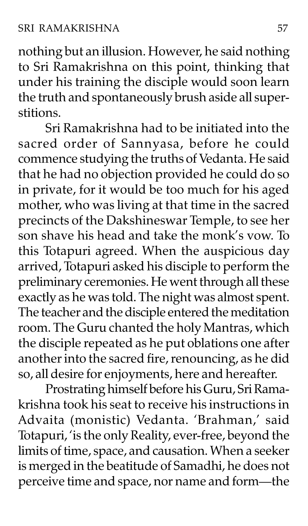nothing but an illusion. However, he said nothing to Sri Ramakrishna on this point, thinking that under his training the disciple would soon learn the truth and spontaneously brush aside all superstitions.

Sri Ramakrishna had to be initiated into the sacred order of Sannyasa, before he could commence studying the truths of Vedanta. He said that he had no objection provided he could do so in private, for it would be too much for his aged mother, who was living at that time in the sacred precincts of the Dakshineswar Temple, to see her son shave his head and take the monk's yow. To this Totapuri agreed. When the auspicious day arrived, Totapuri asked his disciple to perform the preliminary ceremonies. He went through all these exactly as he was told. The night was almost spent. The teacher and the disciple entered the meditation room. The Guru chanted the holy Mantras, which the disciple repeated as he put oblations one after another into the sacred fire, renouncing, as he did so, all desire for enjoyments, here and hereafter.

Prostrating himself before his Guru, Sri Ramakrishna took his seat to receive his instructions in Advaita (monistic) Vedanta. 'Brahman,' said Totapuri, 'is the only Reality, ever-free, beyond the limits of time, space, and causation. When a seeker is merged in the beatitude of Samadhi, he does not perceive time and space, nor name and form-the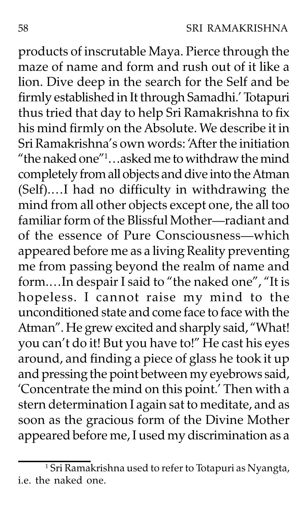products of inscrutable Maya. Pierce through the maze of name and form and rush out of it like a lion. Dive deep in the search for the Self and be firmly established in It through Samadhi.' Totapuri thus tried that day to help Sri Ramakrishna to fix his mind firmly on the Absolute. We describe it in Sri Ramakrishna's own words: 'After the initiation "the naked one" $1$ , asked me to withdraw the mind completely from all objects and dive into the Atman (Self)....I had no difficulty in withdrawing the mind from all other objects except one, the all too familiar form of the Blissful Mother-radiant and of the essence of Pure Consciousness—which appeared before me as a living Reality preventing me from passing beyond the realm of name and form....In despair I said to "the naked one", "It is hopeless. I cannot raise my mind to the unconditioned state and come face to face with the Atman". He grew excited and sharply said, "What! you can't do it! But you have to!" He cast his eyes around, and finding a piece of glass he took it up and pressing the point between my eyebrows said, 'Concentrate the mind on this point.' Then with a stern determination I again sat to meditate, and as soon as the gracious form of the Divine Mother appeared before me, I used my discrimination as a

<sup>1</sup> Sri Ramakrishna used to refer to Totapuri as Nyangta, i.e. the naked one.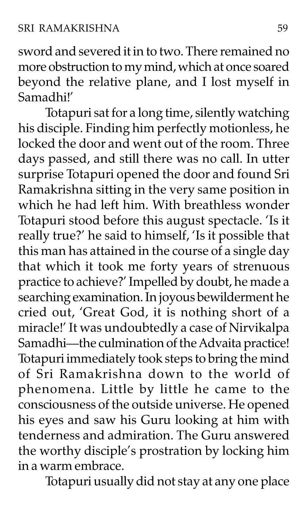sword and severed it in to two. There remained no more obstruction to my mind, which at once soared beyond the relative plane, and I lost myself in Samadhi!í

Totapuri sat for a long time, silently watching his disciple. Finding him perfectly motionless, he locked the door and went out of the room. Three days passed, and still there was no call. In utter surprise Totapuri opened the door and found Sri Ramakrishna sitting in the very same position in which he had left him. With breathless wonder Totapuri stood before this august spectacle. 'Is it really true?' he said to himself, 'Is it possible that this man has attained in the course of a single day that which it took me forty years of strenuous practice to achieve?' Impelled by doubt, he made a searching examination. In joyous bewilderment he cried out, 'Great God, it is nothing short of a miracle!' It was undoubtedly a case of Nirvikalpa Samadhi-the culmination of the Advaita practice! Totapuri immediately took steps to bring the mind of Sri Ramakrishna down to the world of phenomena. Little by little he came to the consciousness of the outside universe. He opened his eyes and saw his Guru looking at him with tenderness and admiration. The Guru answered the worthy disciple's prostration by locking him in a warm embrace.

Totapuri usually did not stay at any one place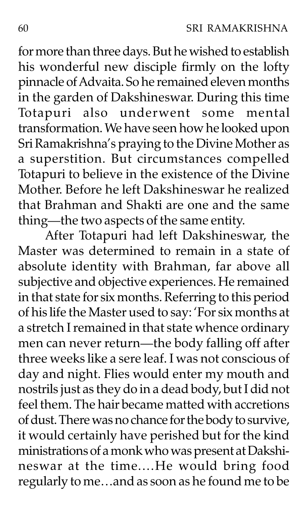for more than three days. But he wished to establish his wonderful new disciple firmly on the lofty pinnacle of Advaita. So he remained eleven months in the garden of Dakshineswar. During this time Totapuri also underwent some mental transformation. We have seen how he looked upon Sri Ramakrishnaís praying to the Divine Mother as a superstition. But circumstances compelled Totapuri to believe in the existence of the Divine Mother. Before he left Dakshineswar he realized that Brahman and Shakti are one and the same thing—the two aspects of the same entity.

After Totapuri had left Dakshineswar, the Master was determined to remain in a state of absolute identity with Brahman, far above all subjective and objective experiences. He remained in that state for six months. Referring to this period of his life the Master used to say: 'For six months at a stretch I remained in that state whence ordinary men can never return—the body falling off after three weeks like a sere leaf. I was not conscious of day and night. Flies would enter my mouth and nostrils just as they do in a dead body, but I did not feel them. The hair became matted with accretions of dust. There was no chance for the body to survive, it would certainly have perished but for the kind ministrations of a monk who was present at Dakshineswar at the time....He would bring food regularly to me...and as soon as he found me to be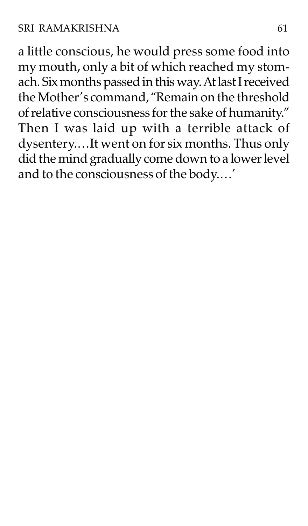a little conscious, he would press some food into my mouth, only a bit of which reached my stomach. Six months passed in this way. At last I received the Mother's command, "Remain on the threshold of relative consciousness for the sake of humanity." Then I was laid up with a terrible attack of dysentery....It went on for six months. Thus only did the mind gradually come down to a lower level and to the consciousness of the body...'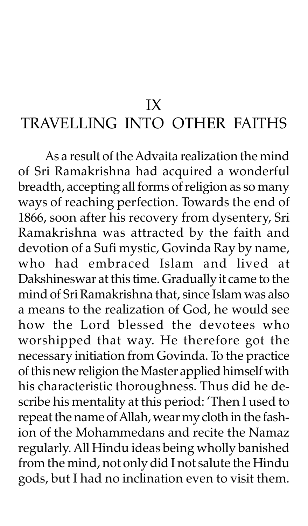### IX

# TRAVELLING INTO OTHER FAITHS

As a result of the Advaita realization the mind of Sri Ramakrishna had acquired a wonderful breadth, accepting all forms of religion as so many ways of reaching perfection. Towards the end of 1866, soon after his recovery from dysentery, Sri Ramakrishna was attracted by the faith and devotion of a Sufi mystic, Govinda Ray by name, who had embraced Islam and lived at Dakshineswar at this time. Gradually it came to the mind of Sri Ramakrishna that, since Islam was also a means to the realization of God, he would see how the Lord blessed the devotees who worshipped that way. He therefore got the necessary initiation from Govinda. To the practice of this new religion the Master applied himself with his characteristic thoroughness. Thus did he describe his mentality at this period: 'Then I used to repeat the name of Allah, wear my cloth in the fashion of the Mohammedans and recite the Namaz regularly. All Hindu ideas being wholly banished from the mind, not only did I not salute the Hindu gods, but I had no inclination even to visit them.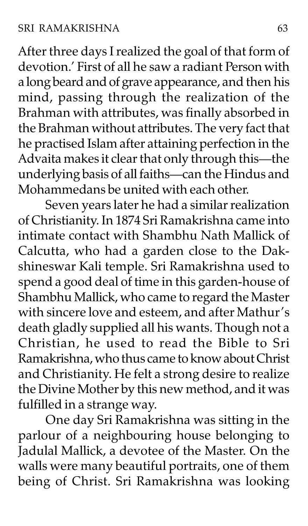After three days I realized the goal of that form of devotion.<sup>'</sup> First of all he saw a radiant Person with a long beard and of grave appearance, and then his mind, passing through the realization of the Brahman with attributes, was finally absorbed in the Brahman without attributes. The very fact that he practised Islam after attaining perfection in the Advaita makes it clear that only through this-the underlying basis of all faiths-can the Hindus and Mohammedans be united with each other.

Seven years later he had a similar realization of Christianity. In 1874 Sri Ramakrishna came into intimate contact with Shambhu Nath Mallick of Calcutta, who had a garden close to the Dakshineswar Kali temple. Sri Ramakrishna used to spend a good deal of time in this garden-house of Shambhu Mallick, who came to regard the Master with sincere love and esteem, and after Mathur's death gladly supplied all his wants. Though not a Christian, he used to read the Bible to Sri Ramakrishna, who thus came to know about Christ and Christianity. He felt a strong desire to realize the Divine Mother by this new method, and it was fulfilled in a strange way.

One day Sri Ramakrishna was sitting in the parlour of a neighbouring house belonging to Jadulal Mallick, a devotee of the Master. On the walls were many beautiful portraits, one of them being of Christ. Sri Ramakrishna was looking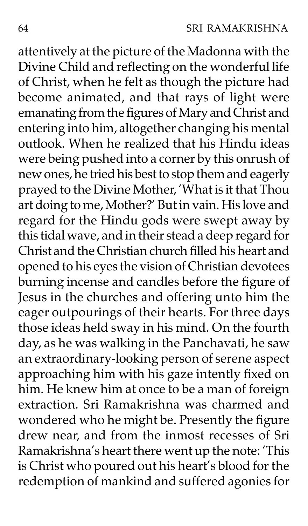attentively at the picture of the Madonna with the Divine Child and reflecting on the wonderful life of Christ, when he felt as though the picture had become animated, and that rays of light were emanating from the figures of Mary and Christ and entering into him, altogether changing his mental outlook. When he realized that his Hindu ideas were being pushed into a corner by this onrush of new ones, he tried his best to stop them and eagerly prayed to the Divine Mother, 'What is it that Thou art doing to me, Mother?' But in vain. His love and regard for the Hindu gods were swept away by this tidal wave, and in their stead a deep regard for Christ and the Christian church filled his heart and opened to his eyes the vision of Christian devotees burning incense and candles before the figure of Jesus in the churches and offering unto him the eager outpourings of their hearts. For three days those ideas held sway in his mind. On the fourth day, as he was walking in the Panchavati, he saw an extraordinary-looking person of serene aspect approaching him with his gaze intently fixed on him. He knew him at once to be a man of foreign extraction. Sri Ramakrishna was charmed and wondered who he might be. Presently the figure drew near, and from the inmost recesses of Sri Ramakrishna's heart there went up the note: 'This is Christ who poured out his heart's blood for the redemption of mankind and suffered agonies for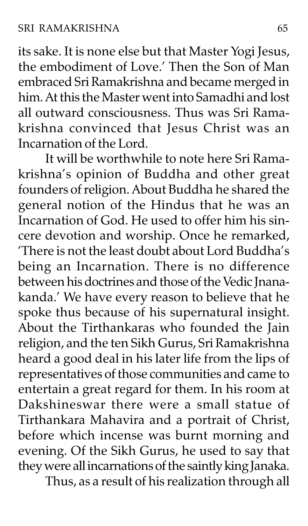its sake. It is none else but that Master Yogi Jesus, the embodiment of Love.' Then the Son of Man embraced Sri Ramakrishna and became merged in him. At this the Master went into Samadhi and lost all outward consciousness. Thus was Sri Ramakrishna convinced that Jesus Christ was an Incarnation of the Lord.

It will be worthwhile to note here Sri Ramakrishnaís opinion of Buddha and other great founders of religion. About Buddha he shared the general notion of the Hindus that he was an Incarnation of God. He used to offer him his sincere devotion and worship. Once he remarked, ëThere is not the least doubt about Lord Buddhaís being an Incarnation. There is no difference between his doctrines and those of the Vedic Jnanakanda.' We have every reason to believe that he spoke thus because of his supernatural insight. About the Tirthankaras who founded the Jain religion, and the ten Sikh Gurus, Sri Ramakrishna heard a good deal in his later life from the lips of representatives of those communities and came to entertain a great regard for them. In his room at Dakshineswar there were a small statue of Tirthankara Mahavira and a portrait of Christ, before which incense was burnt morning and evening. Of the Sikh Gurus, he used to say that they were all incarnations of the saintly king Janaka.

Thus, as a result of his realization through all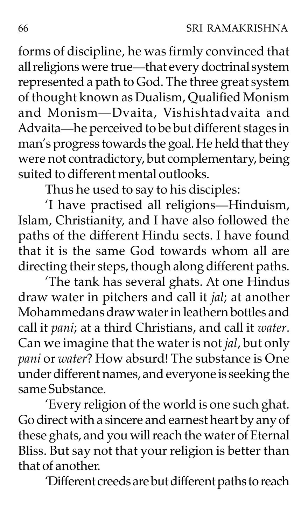forms of discipline, he was firmly convinced that all religions were true-that every doctrinal system represented a path to God. The three great system of thought known as Dualism, Qualified Monism and Monism-Dvaita, Vishishtadvaita and Advaita-he perceived to be but different stages in manís progress towards the goal. He held that they were not contradictory, but complementary, being suited to different mental outlooks.

Thus he used to say to his disciples:

'I have practised all religions-Hinduism, Islam, Christianity, and I have also followed the paths of the different Hindu sects. I have found that it is the same God towards whom all are directing their steps, though along different paths.

'The tank has several ghats. At one Hindus draw water in pitchers and call it jal; at another Mohammedans draw water in leathern bottles and call it pani; at a third Christians, and call it water. Can we imagine that the water is not jal, but only pani or water? How absurd! The substance is One under different names, and everyone is seeking the same Substance.

'Every religion of the world is one such ghat. Go direct with a sincere and earnest heart by any of these ghats, and you will reach the water of Eternal Bliss. But say not that your religion is better than that of another.

ëDifferent creeds are but different paths to reach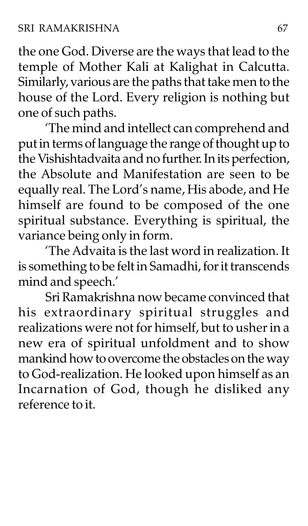the one God. Diverse are the ways that lead to the temple of Mother Kali at Kalighat in Calcutta. Similarly, various are the paths that take men to the house of the Lord. Every religion is nothing but one of such paths.

'The mind and intellect can comprehend and put in terms of language the range of thought up to the Vishishtadvaita and no further. In its perfection, the Absolute and Manifestation are seen to be equally real. The Lord's name, His abode, and He himself are found to be composed of the one spiritual substance. Everything is spiritual, the variance being only in form.

ëThe Advaita is the last word in realization. It is something to be felt in Samadhi, for it transcends mind and speech.<sup>'</sup>

Sri Ramakrishna now became convinced that his extraordinary spiritual struggles and realizations were not for himself, but to usher in a new era of spiritual unfoldment and to show mankind how to overcome the obstacles on the way to God-realization. He looked upon himself as an Incarnation of God, though he disliked any reference to it.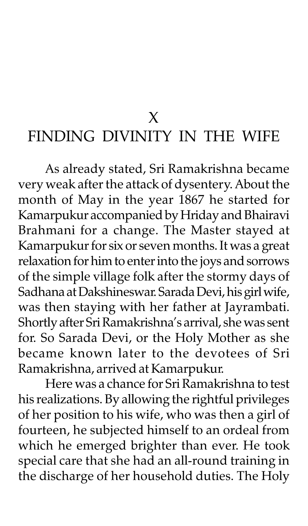X

### FINDING DIVINITY IN THE WIFE

As already stated, Sri Ramakrishna became very weak after the attack of dysentery. About the month of May in the year 1867 he started for Kamarpukur accompanied by Hriday and Bhairavi Brahmani for a change. The Master stayed at Kamarpukur for six or seven months. It was a great relaxation for him to enter into the joys and sorrows of the simple village folk after the stormy days of Sadhana at Dakshineswar. Sarada Devi, his girl wife, was then staying with her father at Jayrambati. Shortly after Sri Ramakrishna's arrival, she was sent for. So Sarada Devi, or the Holy Mother as she became known later to the devotees of Sri Ramakrishna, arrived at Kamarpukur.

Here was a chance for Sri Ramakrishna to test his realizations. By allowing the rightful privileges of her position to his wife, who was then a girl of fourteen, he subjected himself to an ordeal from which he emerged brighter than ever. He took special care that she had an all-round training in the discharge of her household duties. The Holy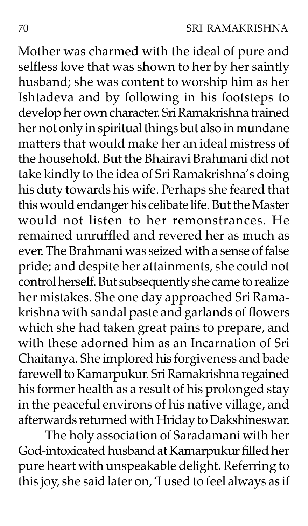Mother was charmed with the ideal of pure and selfless love that was shown to her by her saintly husband; she was content to worship him as her Ishtadeva and by following in his footsteps to develop her own character. Sri Ramakrishna trained her not only in spiritual things but also in mundane matters that would make her an ideal mistress of the household. But the Bhairavi Brahmani did not take kindly to the idea of Sri Ramakrishna's doing his duty towards his wife. Perhaps she feared that this would endanger his celibate life. But the Master would not listen to her remonstrances. He remained unruffled and revered her as much as ever. The Brahmani was seized with a sense of false pride; and despite her attainments, she could not control herself. But subsequently she came to realize her mistakes. She one day approached Sri Ramakrishna with sandal paste and garlands of flowers which she had taken great pains to prepare, and with these adorned him as an Incarnation of Sri Chaitanya. She implored his forgiveness and bade farewell to Kamarpukur. Sri Ramakrishna regained his former health as a result of his prolonged stay in the peaceful environs of his native village, and afterwards returned with Hriday to Dakshineswar.

The holy association of Saradamani with her God-intoxicated husband at Kamarpukur filled her pure heart with unspeakable delight. Referring to this joy, she said later on, 'I used to feel always as if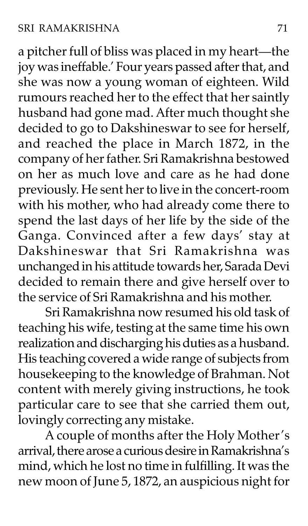a pitcher full of bliss was placed in my heart—the joy was ineffable.' Four years passed after that, and she was now a young woman of eighteen. Wild rumours reached her to the effect that her saintly husband had gone mad. After much thought she decided to go to Dakshineswar to see for herself, and reached the place in March 1872, in the company of her father. Sri Ramakrishna bestowed on her as much love and care as he had done previously. He sent her to live in the concert-room with his mother, who had already come there to spend the last days of her life by the side of the Ganga. Convinced after a few days' stay at Dakshineswar that Sri Ramakrishna was unchanged in his attitude towards her, Sarada Devi decided to remain there and give herself over to the service of Sri Ramakrishna and his mother.

Sri Ramakrishna now resumed his old task of teaching his wife, testing at the same time his own realization and discharging his duties as a husband. His teaching covered a wide range of subjects from housekeeping to the knowledge of Brahman. Not content with merely giving instructions, he took particular care to see that she carried them out, lovingly correcting any mistake.

A couple of months after the Holy Mother's arrival, there arose a curious desire in Ramakrishnaís mind, which he lost no time in fulfilling. It was the new moon of June 5, 1872, an auspicious night for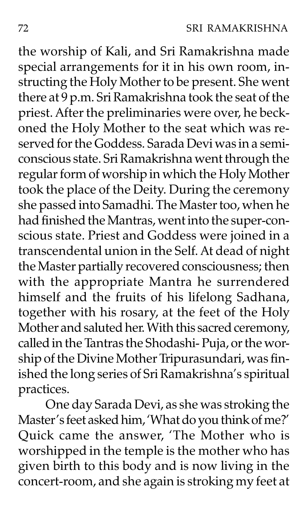the worship of Kali, and Sri Ramakrishna made special arrangements for it in his own room, instructing the Holy Mother to be present. She went there at 9 p.m. Sri Ramakrishna took the seat of the priest. After the preliminaries were over, he beckoned the Holy Mother to the seat which was reserved for the Goddess. Sarada Devi was in a semiconscious state. Sri Ramakrishna went through the regular form of worship in which the Holy Mother took the place of the Deity. During the ceremony she passed into Samadhi. The Master too, when he had finished the Mantras, went into the super-conscious state. Priest and Goddess were joined in a transcendental union in the Self. At dead of night the Master partially recovered consciousness; then with the appropriate Mantra he surrendered himself and the fruits of his lifelong Sadhana, together with his rosary, at the feet of the Holy Mother and saluted her. With this sacred ceremony, called in the Tantras the Shodashi- Puja, or the worship of the Divine Mother Tripurasundari, was finished the long series of Sri Ramakrishna's spiritual practices.

One day Sarada Devi, as she was stroking the Master's feet asked him, 'What do you think of me?' Quick came the answer, 'The Mother who is worshipped in the temple is the mother who has given birth to this body and is now living in the concert-room, and she again is stroking my feet at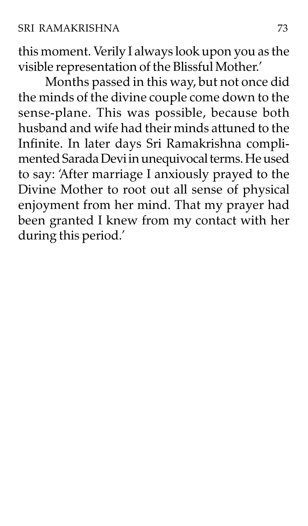this moment. Verily I always look upon you as the visible representation of the Blissful Mother.<sup>'</sup>

Months passed in this way, but not once did the minds of the divine couple come down to the sense-plane. This was possible, because both husband and wife had their minds attuned to the Infinite. In later days Sri Ramakrishna complimented Sarada Devi in unequivocal terms. He used to say: 'After marriage I anxiously prayed to the Divine Mother to root out all sense of physical enjoyment from her mind. That my prayer had been granted I knew from my contact with her during this period.'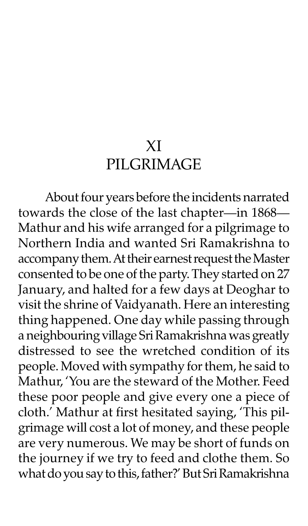## XI PILGRIMAGE

About four years before the incidents narrated towards the close of the last chapter-in 1868-Mathur and his wife arranged for a pilgrimage to Northern India and wanted Sri Ramakrishna to accompany them. At their earnest request the Master consented to be one of the party. They started on 27 January, and halted for a few days at Deoghar to visit the shrine of Vaidyanath. Here an interesting thing happened. One day while passing through a neighbouring village Sri Ramakrishna was greatly distressed to see the wretched condition of its people. Moved with sympathy for them, he said to Mathur, 'You are the steward of the Mother. Feed these poor people and give every one a piece of cloth.' Mathur at first hesitated saying, 'This pilgrimage will cost a lot of money, and these people are very numerous. We may be short of funds on the journey if we try to feed and clothe them. So what do you say to this, father?' But Sri Ramakrishna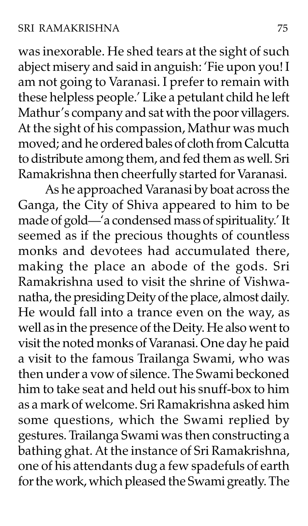was inexorable. He shed tears at the sight of such abject misery and said in anguish: 'Fie upon you! I am not going to Varanasi. I prefer to remain with these helpless people.' Like a petulant child he left Mathur's company and sat with the poor villagers. At the sight of his compassion, Mathur was much moved; and he ordered bales of cloth from Calcutta to distribute among them, and fed them as well. Sri Ramakrishna then cheerfully started for Varanasi.

As he approached Varanasi by boat across the Ganga, the City of Shiva appeared to him to be made of gold-'a condensed mass of spirituality.' It seemed as if the precious thoughts of countless monks and devotees had accumulated there, making the place an abode of the gods. Sri Ramakrishna used to visit the shrine of Vishwanatha, the presiding Deity of the place, almost daily. He would fall into a trance even on the way, as well as in the presence of the Deity. He also went to visit the noted monks of Varanasi. One day he paid a visit to the famous Trailanga Swami, who was then under a vow of silence. The Swami beckoned him to take seat and held out his snuff-box to him as a mark of welcome. Sri Ramakrishna asked him some questions, which the Swami replied by gestures. Trailanga Swami was then constructing a bathing ghat. At the instance of Sri Ramakrishna, one of his attendants dug a few spadefuls of earth for the work, which pleased the Swami greatly. The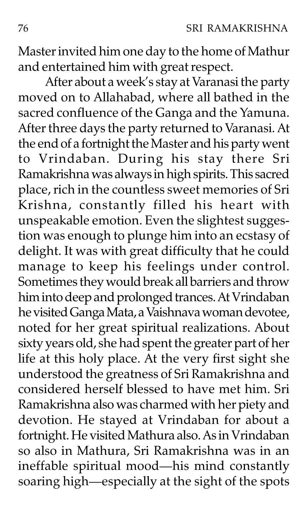Master invited him one day to the home of Mathur and entertained him with great respect.

After about a week's stay at Varanasi the party moved on to Allahabad, where all bathed in the sacred confluence of the Ganga and the Yamuna. After three days the party returned to Varanasi. At the end of a fortnight the Master and his party went to Vrindaban. During his stay there Sri Ramakrishna was always in high spirits. This sacred place, rich in the countless sweet memories of Sri Krishna, constantly filled his heart with unspeakable emotion. Even the slightest suggestion was enough to plunge him into an ecstasy of delight. It was with great difficulty that he could manage to keep his feelings under control. Sometimes they would break all barriers and throw him into deep and prolonged trances. At Vrindaban he visited Ganga Mata, a Vaishnava woman devotee, noted for her great spiritual realizations. About sixty years old, she had spent the greater part of her life at this holy place. At the very first sight she understood the greatness of Sri Ramakrishna and considered herself blessed to have met him. Sri Ramakrishna also was charmed with her piety and devotion. He stayed at Vrindaban for about a fortnight. He visited Mathura also. As in Vrindaban so also in Mathura, Sri Ramakrishna was in an ineffable spiritual mood—his mind constantly soaring high—especially at the sight of the spots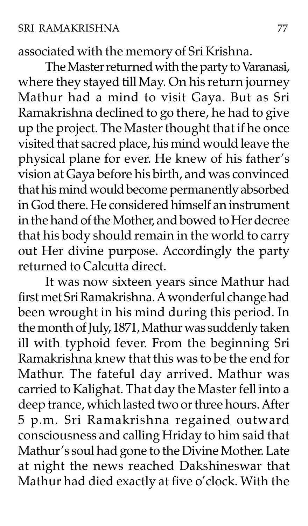associated with the memory of Sri Krishna.

The Master returned with the party to Varanasi, where they stayed till May. On his return journey Mathur had a mind to visit Gaya. But as Sri Ramakrishna declined to go there, he had to give up the project. The Master thought that if he once visited that sacred place, his mind would leave the physical plane for ever. He knew of his father's vision at Gaya before his birth, and was convinced that his mind would become permanently absorbed in God there. He considered himself an instrument in the hand of the Mother, and bowed to Her decree that his body should remain in the world to carry out Her divine purpose. Accordingly the party returned to Calcutta direct.

It was now sixteen years since Mathur had first met Sri Ramakrishna. A wonderful change had been wrought in his mind during this period. In the month of July, 1871, Mathur was suddenly taken ill with typhoid fever. From the beginning Sri Ramakrishna knew that this was to be the end for Mathur. The fateful day arrived. Mathur was carried to Kalighat. That day the Master fell into a deep trance, which lasted two or three hours. After 5 p.m. Sri Ramakrishna regained outward consciousness and calling Hriday to him said that Mathur's soul had gone to the Divine Mother. Late at night the news reached Dakshineswar that Mathur had died exactly at five o'clock. With the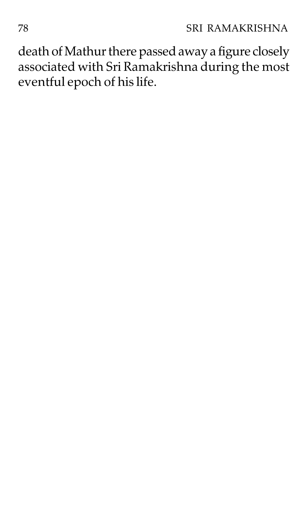death of Mathur there passed away a figure closely associated with Sri Ramakrishna during the most eventful epoch of his life.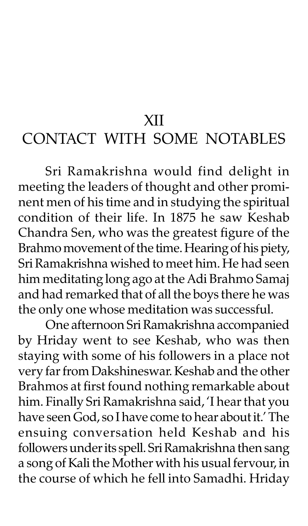### XII

## CONTACT WITH SOME NOTABLES

Sri Ramakrishna would find delight in meeting the leaders of thought and other prominent men of his time and in studying the spiritual condition of their life. In 1875 he saw Keshab Chandra Sen, who was the greatest figure of the Brahmo movement of the time. Hearing of his piety, Sri Ramakrishna wished to meet him. He had seen him meditating long ago at the Adi Brahmo Samaj and had remarked that of all the boys there he was the only one whose meditation was successful.

One afternoon Sri Ramakrishna accompanied by Hriday went to see Keshab, who was then staying with some of his followers in a place not very far from Dakshineswar. Keshab and the other Brahmos at first found nothing remarkable about him. Finally Sri Ramakrishna said, 'I hear that you have seen God, so I have come to hear about it.' The ensuing conversation held Keshab and his followers under its spell. Sri Ramakrishna then sang a song of Kali the Mother with his usual fervour, in the course of which he fell into Samadhi. Hriday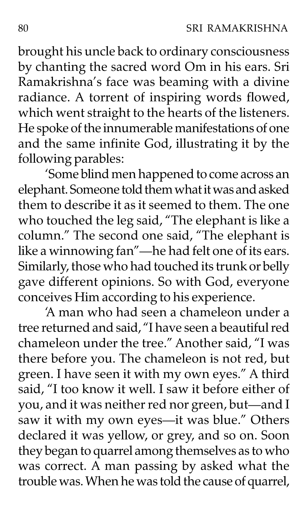brought his uncle back to ordinary consciousness by chanting the sacred word Om in his ears. Sri Ramakrishnaís face was beaming with a divine radiance. A torrent of inspiring words flowed, which went straight to the hearts of the listeners. He spoke of the innumerable manifestations of one and the same infinite God, illustrating it by the following parables:

'Some blind men happened to come across an elephant. Someone told them what it was and asked them to describe it as it seemed to them. The one who touched the leg said, "The elephant is like a column." The second one said, "The elephant is like a winnowing fan"—he had felt one of its ears. Similarly, those who had touched its trunk or belly gave different opinions. So with God, everyone conceives Him according to his experience.

ëA man who had seen a chameleon under a tree returned and said, "I have seen a beautiful red chameleon under the tree." Another said, "I was there before you. The chameleon is not red, but green. I have seen it with my own eyes." A third said, "I too know it well. I saw it before either of you, and it was neither red nor green, but-and I saw it with my own eyes-it was blue." Others declared it was yellow, or grey, and so on. Soon they began to quarrel among themselves as to who was correct. A man passing by asked what the trouble was. When he was told the cause of quarrel,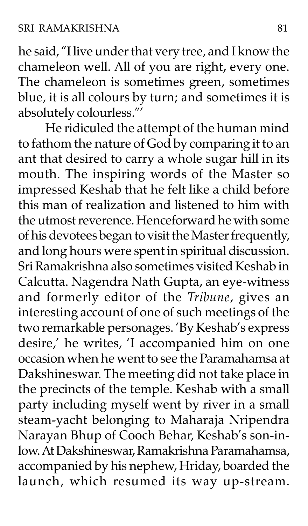he said, "I live under that very tree, and I know the chameleon well. All of you are right, every one. The chameleon is sometimes green, sometimes blue, it is all colours by turn; and sometimes it is absolutely colourless."'

He ridiculed the attempt of the human mind to fathom the nature of God by comparing it to an ant that desired to carry a whole sugar hill in its mouth. The inspiring words of the Master so impressed Keshab that he felt like a child before this man of realization and listened to him with the utmost reverence. Henceforward he with some of his devotees began to visit the Master frequently, and long hours were spent in spiritual discussion. Sri Ramakrishna also sometimes visited Keshab in Calcutta. Nagendra Nath Gupta, an eye-witness and formerly editor of the Tribune, gives an interesting account of one of such meetings of the two remarkable personages. 'By Keshab's express desire,' he writes, 'I accompanied him on one occasion when he went to see the Paramahamsa at Dakshineswar. The meeting did not take place in the precincts of the temple. Keshab with a small party including myself went by river in a small steam-yacht belonging to Maharaja Nripendra Narayan Bhup of Cooch Behar, Keshab's son-inlow. At Dakshineswar, Ramakrishna Paramahamsa, accompanied by his nephew, Hriday, boarded the launch, which resumed its way up-stream.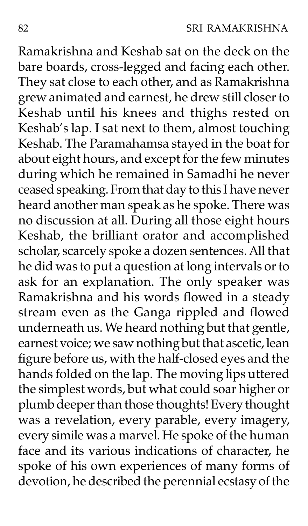Ramakrishna and Keshab sat on the deck on the bare boards, cross-legged and facing each other. They sat close to each other, and as Ramakrishna grew animated and earnest, he drew still closer to Keshab until his knees and thighs rested on Keshab's lap. I sat next to them, almost touching Keshab. The Paramahamsa stayed in the boat for about eight hours, and except for the few minutes during which he remained in Samadhi he never ceased speaking. From that day to this I have never heard another man speak as he spoke. There was no discussion at all. During all those eight hours Keshab, the brilliant orator and accomplished scholar, scarcely spoke a dozen sentences. All that he did was to put a question at long intervals or to ask for an explanation. The only speaker was Ramakrishna and his words flowed in a steady stream even as the Ganga rippled and flowed underneath us. We heard nothing but that gentle, earnest voice; we saw nothing but that ascetic, lean figure before us, with the half-closed eyes and the hands folded on the lap. The moving lips uttered the simplest words, but what could soar higher or plumb deeper than those thoughts! Every thought was a revelation, every parable, every imagery, every simile was a marvel. He spoke of the human face and its various indications of character, he spoke of his own experiences of many forms of devotion, he described the perennial ecstasy of the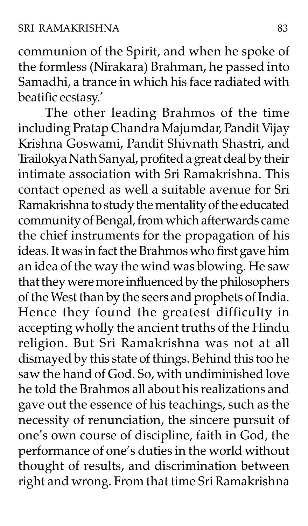communion of the Spirit, and when he spoke of the formless (Nirakara) Brahman, he passed into Samadhi, a trance in which his face radiated with beatific ecstasy.'

The other leading Brahmos of the time including Pratap Chandra Majumdar, Pandit Vijay Krishna Goswami, Pandit Shivnath Shastri, and Trailokya Nath Sanyal, profited a great deal by their intimate association with Sri Ramakrishna. This contact opened as well a suitable avenue for Sri Ramakrishna to study the mentality of the educated community of Bengal, from which afterwards came the chief instruments for the propagation of his ideas. It was in fact the Brahmos who first gave him an idea of the way the wind was blowing. He saw that they were more influenced by the philosophers of the West than by the seers and prophets of India. Hence they found the greatest difficulty in accepting wholly the ancient truths of the Hindu religion. But Sri Ramakrishna was not at all dismayed by this state of things. Behind this too he saw the hand of God. So, with undiminished love he told the Brahmos all about his realizations and gave out the essence of his teachings, such as the necessity of renunciation, the sincere pursuit of one's own course of discipline, faith in God, the performance of one's duties in the world without thought of results, and discrimination between right and wrong. From that time Sri Ramakrishna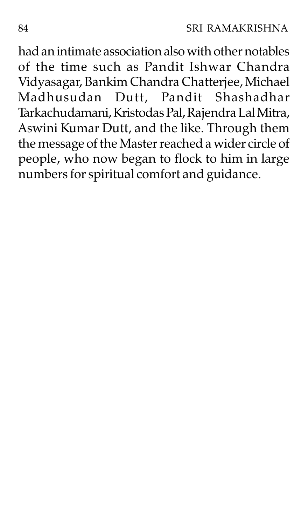had an intimate association also with other notables of the time such as Pandit Ishwar Chandra Vidyasagar, Bankim Chandra Chatterjee, Michael Madhusudan Dutt, Pandit Shashadhar Tarkachudamani, Kristodas Pal, Rajendra Lal Mitra, Aswini Kumar Dutt, and the like. Through them the message of the Master reached a wider circle of people, who now began to flock to him in large numbers for spiritual comfort and guidance.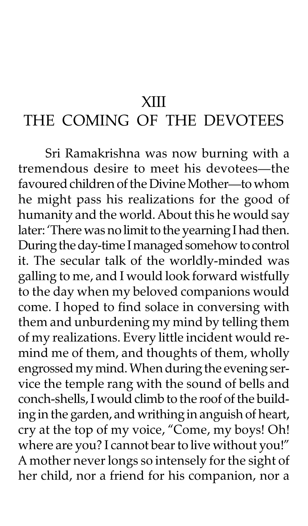#### XIII

## THE COMING OF THE DEVOTEES

Sri Ramakrishna was now burning with a tremendous desire to meet his devotees—the favoured children of the Divine Mother-to whom he might pass his realizations for the good of humanity and the world. About this he would say later: 'There was no limit to the yearning I had then. During the day-time I managed somehow to control it. The secular talk of the worldly-minded was galling to me, and I would look forward wistfully to the day when my beloved companions would come. I hoped to find solace in conversing with them and unburdening my mind by telling them of my realizations. Every little incident would remind me of them, and thoughts of them, wholly engrossed my mind. When during the evening service the temple rang with the sound of bells and conch-shells, I would climb to the roof of the building in the garden, and writhing in anguish of heart, cry at the top of my voice, "Come, my boys! Oh! where are you? I cannot bear to live without you!" A mother never longs so intensely for the sight of her child, nor a friend for his companion, nor a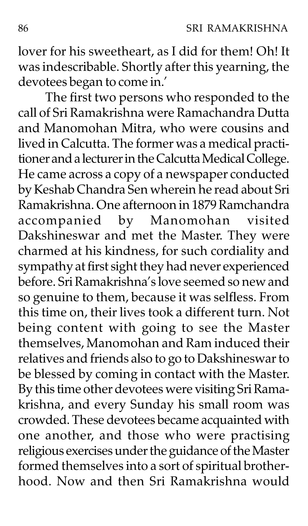lover for his sweetheart, as I did for them! Oh! It was indescribable. Shortly after this yearning, the devotees began to come in.'

The first two persons who responded to the call of Sri Ramakrishna were Ramachandra Dutta and Manomohan Mitra, who were cousins and lived in Calcutta. The former was a medical practitioner and a lecturer in the Calcutta Medical College. He came across a copy of a newspaper conducted by Keshab Chandra Sen wherein he read about Sri Ramakrishna. One afternoon in 1879 Ramchandra accompanied by Manomohan visited Dakshineswar and met the Master. They were charmed at his kindness, for such cordiality and sympathy at first sight they had never experienced before. Sri Ramakrishnaís love seemed so new and so genuine to them, because it was selfless. From this time on, their lives took a different turn. Not being content with going to see the Master themselves, Manomohan and Ram induced their relatives and friends also to go to Dakshineswar to be blessed by coming in contact with the Master. By this time other devotees were visiting Sri Ramakrishna, and every Sunday his small room was crowded. These devotees became acquainted with one another, and those who were practising religious exercises under the guidance of the Master formed themselves into a sort of spiritual brotherhood. Now and then Sri Ramakrishna would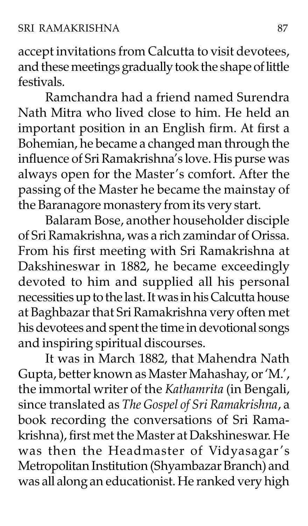accept invitations from Calcutta to visit devotees, and these meetings gradually took the shape of little festivals.

Ramchandra had a friend named Surendra Nath Mitra who lived close to him. He held an important position in an English firm. At first a Bohemian, he became a changed man through the influence of Sri Ramakrishna's love. His purse was always open for the Master's comfort. After the passing of the Master he became the mainstay of the Baranagore monastery from its very start.

Balaram Bose, another householder disciple of Sri Ramakrishna, was a rich zamindar of Orissa. From his first meeting with Sri Ramakrishna at Dakshineswar in 1882, he became exceedingly devoted to him and supplied all his personal necessities up to the last. It was in his Calcutta house at Baghbazar that Sri Ramakrishna very often met his devotees and spent the time in devotional songs and inspiring spiritual discourses.

It was in March 1882, that Mahendra Nath Gupta, better known as Master Mahashay, or 'M.', the immortal writer of the Kathamrita (in Bengali, since translated as The Gospel of Sri Ramakrishna, a book recording the conversations of Sri Ramakrishna), first met the Master at Dakshineswar. He was then the Headmaster of Vidyasagar's Metropolitan Institution (Shyambazar Branch) and was all along an educationist. He ranked very high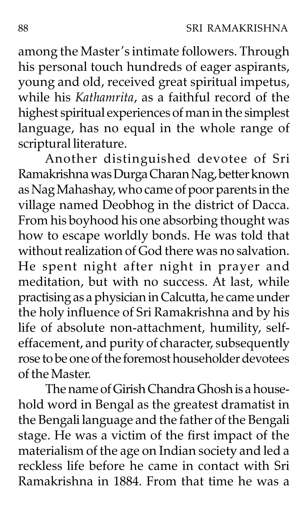among the Master's intimate followers. Through his personal touch hundreds of eager aspirants, young and old, received great spiritual impetus, while his Kathamrita, as a faithful record of the highest spiritual experiences of man in the simplest language, has no equal in the whole range of scriptural literature.

Another distinguished devotee of Sri Ramakrishna was Durga Charan Nag, better known as Nag Mahashay, who came of poor parents in the village named Deobhog in the district of Dacca. From his boyhood his one absorbing thought was how to escape worldly bonds. He was told that without realization of God there was no salvation. He spent night after night in prayer and meditation, but with no success. At last, while practising as a physician in Calcutta, he came under the holy influence of Sri Ramakrishna and by his life of absolute non-attachment, humility, selfeffacement, and purity of character, subsequently rose to be one of the foremost householder devotees of the Master.

The name of Girish Chandra Ghosh is a household word in Bengal as the greatest dramatist in the Bengali language and the father of the Bengali stage. He was a victim of the first impact of the materialism of the age on Indian society and led a reckless life before he came in contact with Sri Ramakrishna in 1884. From that time he was a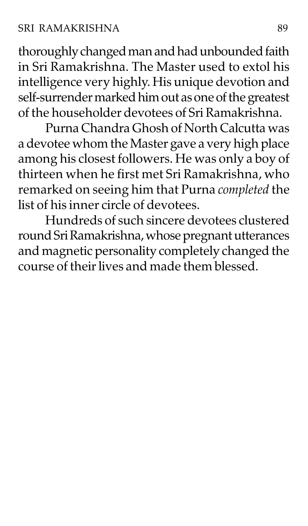thoroughly changed man and had unbounded faith in Sri Ramakrishna. The Master used to extol his intelligence very highly. His unique devotion and self-surrender marked him out as one of the greatest of the householder devotees of Sri Ramakrishna.

Purna Chandra Ghosh of North Calcutta was a devotee whom the Master gave a very high place among his closest followers. He was only a boy of thirteen when he first met Sri Ramakrishna, who remarked on seeing him that Purna completed the list of his inner circle of devotees.

Hundreds of such sincere devotees clustered round Sri Ramakrishna, whose pregnant utterances and magnetic personality completely changed the course of their lives and made them blessed.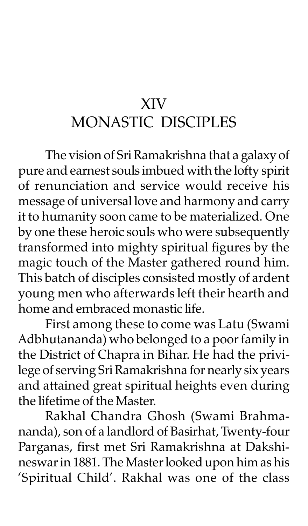# XIV MONASTIC DISCIPLES

The vision of Sri Ramakrishna that a galaxy of pure and earnest souls imbued with the lofty spirit of renunciation and service would receive his message of universal love and harmony and carry it to humanity soon came to be materialized. One by one these heroic souls who were subsequently transformed into mighty spiritual figures by the magic touch of the Master gathered round him. This batch of disciples consisted mostly of ardent young men who afterwards left their hearth and home and embraced monastic life.

First among these to come was Latu (Swami Adbhutananda) who belonged to a poor family in the District of Chapra in Bihar. He had the privilege of serving Sri Ramakrishna for nearly six years and attained great spiritual heights even during the lifetime of the Master.

Rakhal Chandra Ghosh (Swami Brahmananda), son of a landlord of Basirhat, Twenty-four Parganas, first met Sri Ramakrishna at Dakshineswar in 1881. The Master looked upon him as his 'Spiritual Child'. Rakhal was one of the class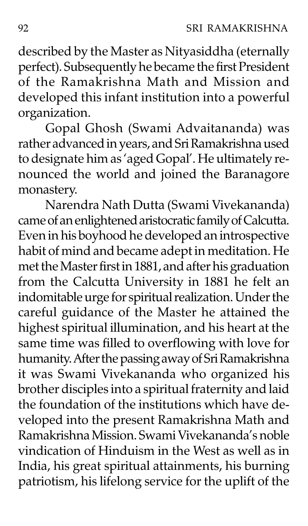described by the Master as Nityasiddha (eternally perfect). Subsequently he became the first President of the Ramakrishna Math and Mission and developed this infant institution into a powerful organization.

Gopal Ghosh (Swami Advaitananda) was rather advanced in years, and Sri Ramakrishna used to designate him as 'aged Gopal'. He ultimately renounced the world and joined the Baranagore monastery.

Narendra Nath Dutta (Swami Vivekananda) came of an enlightened aristocratic family of Calcutta. Even in his boyhood he developed an introspective habit of mind and became adept in meditation. He met the Master first in 1881, and after his graduation from the Calcutta University in 1881 he felt an indomitable urge for spiritual realization. Under the careful guidance of the Master he attained the highest spiritual illumination, and his heart at the same time was filled to overflowing with love for humanity. After the passing away of Sri Ramakrishna it was Swami Vivekananda who organized his brother disciples into a spiritual fraternity and laid the foundation of the institutions which have developed into the present Ramakrishna Math and Ramakrishna Mission. Swami Vivekanandaís noble vindication of Hinduism in the West as well as in India, his great spiritual attainments, his burning patriotism, his lifelong service for the uplift of the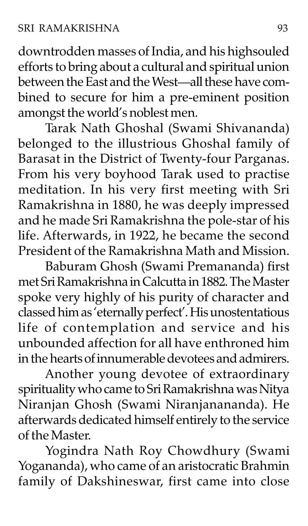downtrodden masses of India, and his highsouled efforts to bring about a cultural and spiritual union between the East and the West-all these have combined to secure for him a pre-eminent position amongst the world's noblest men.

Tarak Nath Ghoshal (Swami Shivananda) belonged to the illustrious Ghoshal family of Barasat in the District of Twenty-four Parganas. From his very boyhood Tarak used to practise meditation. In his very first meeting with Sri Ramakrishna in 1880, he was deeply impressed and he made Sri Ramakrishna the pole-star of his life. Afterwards, in 1922, he became the second President of the Ramakrishna Math and Mission.

Baburam Ghosh (Swami Premananda) first met Sri Ramakrishna in Calcutta in 1882. The Master spoke very highly of his purity of character and classed him as 'eternally perfect'. His unostentatious life of contemplation and service and his unbounded affection for all have enthroned him in the hearts of innumerable devotees and admirers.

Another young devotee of extraordinary spirituality who came to Sri Ramakrishna was Nitya Niranjan Ghosh (Swami Niranjanananda). He afterwards dedicated himself entirely to the service of the Master.

Yogindra Nath Roy Chowdhury (Swami Yogananda), who came of an aristocratic Brahmin family of Dakshineswar, first came into close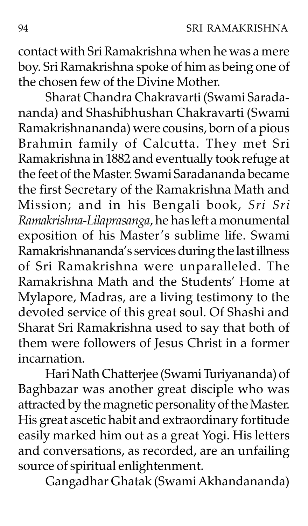contact with Sri Ramakrishna when he was a mere boy. Sri Ramakrishna spoke of him as being one of the chosen few of the Divine Mother.

Sharat Chandra Chakravarti (Swami Saradananda) and Shashibhushan Chakravarti (Swami Ramakrishnananda) were cousins, born of a pious Brahmin family of Calcutta. They met Sri Ramakrishna in 1882 and eventually took refuge at the feet of the Master. Swami Saradananda became the first Secretary of the Ramakrishna Math and Mission; and in his Bengali book, Sri Sri Ramakrishna-Lilaprasanga, he has left a monumental exposition of his Master's sublime life. Swami Ramakrishnanandaís services during the last illness of Sri Ramakrishna were unparalleled. The Ramakrishna Math and the Studentsí Home at Mylapore, Madras, are a living testimony to the devoted service of this great soul. Of Shashi and Sharat Sri Ramakrishna used to say that both of them were followers of Jesus Christ in a former incarnation.

Hari Nath Chatterjee (Swami Turiyananda) of Baghbazar was another great disciple who was attracted by the magnetic personality of the Master. His great ascetic habit and extraordinary fortitude easily marked him out as a great Yogi. His letters and conversations, as recorded, are an unfailing source of spiritual enlightenment.

Gangadhar Ghatak (Swami Akhandananda)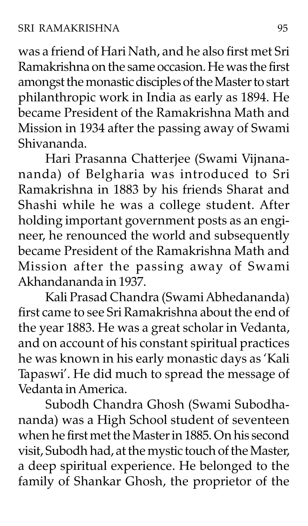was a friend of Hari Nath, and he also first met Sri Ramakrishna on the same occasion. He was the first amongst the monastic disciples of the Master to start philanthropic work in India as early as 1894. He became President of the Ramakrishna Math and Mission in 1934 after the passing away of Swami Shivananda.

Hari Prasanna Chatterjee (Swami Vijnanananda) of Belgharia was introduced to Sri Ramakrishna in 1883 by his friends Sharat and Shashi while he was a college student. After holding important government posts as an engineer, he renounced the world and subsequently became President of the Ramakrishna Math and Mission after the passing away of Swami Akhandananda in 1937.

Kali Prasad Chandra (Swami Abhedananda) first came to see Sri Ramakrishna about the end of the year 1883. He was a great scholar in Vedanta, and on account of his constant spiritual practices he was known in his early monastic days as 'Kali Tapaswií. He did much to spread the message of Vedanta in America.

Subodh Chandra Ghosh (Swami Subodhananda) was a High School student of seventeen when he first met the Master in 1885. On his second visit, Subodh had, at the mystic touch of the Master, a deep spiritual experience. He belonged to the family of Shankar Ghosh, the proprietor of the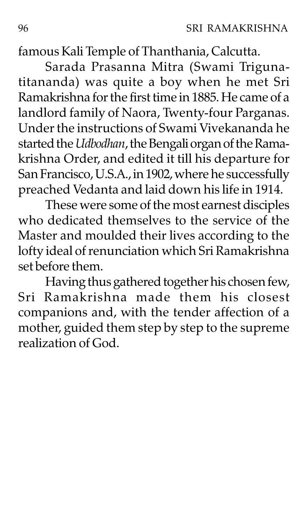famous Kali Temple of Thanthania, Calcutta.

Sarada Prasanna Mitra (Swami Trigunatitananda) was quite a boy when he met Sri Ramakrishna for the first time in 1885. He came of a landlord family of Naora, Twenty-four Parganas. Under the instructions of Swami Vivekananda he started the Udbodhan, the Bengali organ of the Ramakrishna Order, and edited it till his departure for San Francisco, U.S.A., in 1902, where he successfully preached Vedanta and laid down his life in 1914.

These were some of the most earnest disciples who dedicated themselves to the service of the Master and moulded their lives according to the lofty ideal of renunciation which Sri Ramakrishna set before them.

Having thus gathered together his chosen few, Sri Ramakrishna made them his closest companions and, with the tender affection of a mother, guided them step by step to the supreme realization of God.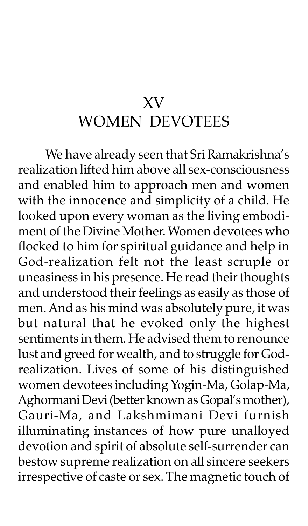### XV WOMEN DEVOTEES

We have already seen that Sri Ramakrishna's realization lifted him above all sex-consciousness and enabled him to approach men and women with the innocence and simplicity of a child. He looked upon every woman as the living embodiment of the Divine Mother. Women devotees who flocked to him for spiritual guidance and help in God-realization felt not the least scruple or uneasiness in his presence. He read their thoughts and understood their feelings as easily as those of men. And as his mind was absolutely pure, it was but natural that he evoked only the highest sentiments in them. He advised them to renounce lust and greed for wealth, and to struggle for Godrealization. Lives of some of his distinguished women devotees including Yogin-Ma, Golap-Ma, Aghormani Devi (better known as Gopal's mother), Gauri-Ma, and Lakshmimani Devi furnish illuminating instances of how pure unalloyed devotion and spirit of absolute self-surrender can bestow supreme realization on all sincere seekers irrespective of caste or sex. The magnetic touch of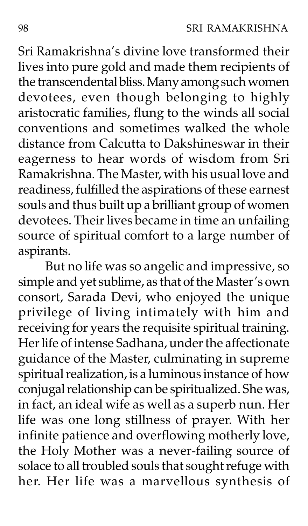Sri Ramakrishnaís divine love transformed their lives into pure gold and made them recipients of the transcendental bliss. Many among such women devotees, even though belonging to highly aristocratic families, flung to the winds all social conventions and sometimes walked the whole distance from Calcutta to Dakshineswar in their eagerness to hear words of wisdom from Sri Ramakrishna. The Master, with his usual love and readiness, fulfilled the aspirations of these earnest souls and thus built up a brilliant group of women devotees. Their lives became in time an unfailing source of spiritual comfort to a large number of aspirants.

But no life was so angelic and impressive, so simple and yet sublime, as that of the Master's own consort, Sarada Devi, who enjoyed the unique privilege of living intimately with him and receiving for years the requisite spiritual training. Her life of intense Sadhana, under the affectionate guidance of the Master, culminating in supreme spiritual realization, is a luminous instance of how conjugal relationship can be spiritualized. She was, in fact, an ideal wife as well as a superb nun. Her life was one long stillness of prayer. With her infinite patience and overflowing motherly love, the Holy Mother was a never-failing source of solace to all troubled souls that sought refuge with her. Her life was a marvellous synthesis of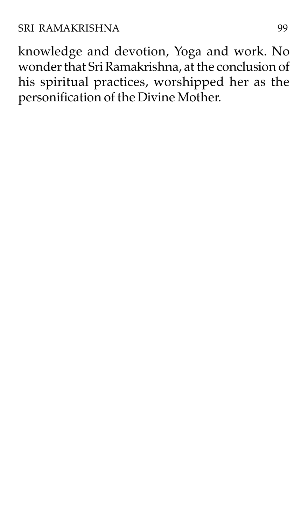knowledge and devotion, Yoga and work. No wonder that Sri Ramakrishna, at the conclusion of his spiritual practices, worshipped her as the personification of the Divine Mother.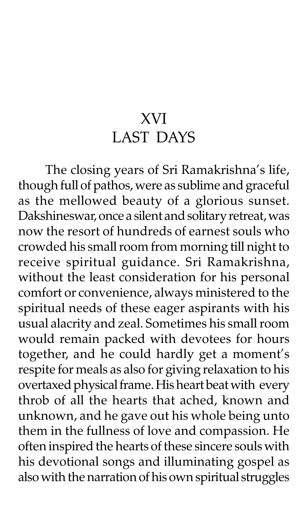## XVI LAST DAYS

The closing years of Sri Ramakrishna's life, though full of pathos, were as sublime and graceful as the mellowed beauty of a glorious sunset. Dakshineswar, once a silent and solitary retreat, was now the resort of hundreds of earnest souls who crowded his small room from morning till night to receive spiritual guidance. Sri Ramakrishna, without the least consideration for his personal comfort or convenience, always ministered to the spiritual needs of these eager aspirants with his usual alacrity and zeal. Sometimes his small room would remain packed with devotees for hours together, and he could hardly get a moment's respite for meals as also for giving relaxation to his overtaxed physical frame. His heart beat with every throb of all the hearts that ached, known and unknown, and he gave out his whole being unto them in the fullness of love and compassion. He often inspired the hearts of these sincere souls with his devotional songs and illuminating gospel as also with the narration of his own spiritual struggles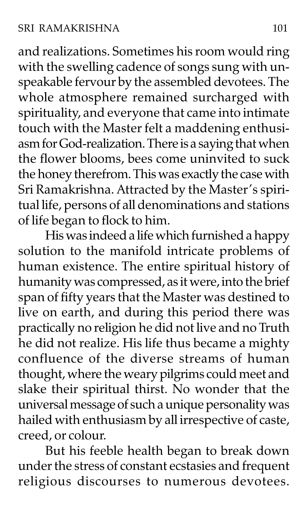and realizations. Sometimes his room would ring with the swelling cadence of songs sung with unspeakable fervour by the assembled devotees. The whole atmosphere remained surcharged with spirituality, and everyone that came into intimate touch with the Master felt a maddening enthusiasm for God-realization. There is a saying that when the flower blooms, bees come uninvited to suck the honey therefrom. This was exactly the case with Sri Ramakrishna. Attracted by the Master's spiritual life, persons of all denominations and stations of life began to flock to him.

His was indeed a life which furnished a happy solution to the manifold intricate problems of human existence. The entire spiritual history of humanity was compressed, as it were, into the brief span of fifty years that the Master was destined to live on earth, and during this period there was practically no religion he did not live and no Truth he did not realize. His life thus became a mighty confluence of the diverse streams of human thought, where the weary pilgrims could meet and slake their spiritual thirst. No wonder that the universal message of such a unique personality was hailed with enthusiasm by all irrespective of caste, creed, or colour.

But his feeble health began to break down under the stress of constant ecstasies and frequent religious discourses to numerous devotees.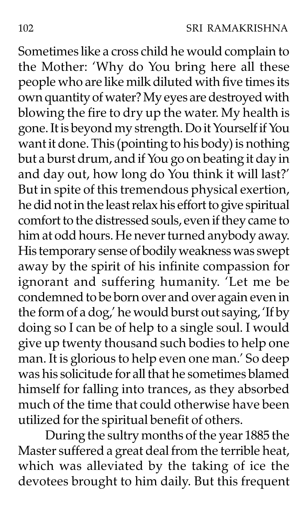Sometimes like a cross child he would complain to the Mother: 'Why do You bring here all these people who are like milk diluted with five times its own quantity of water? My eyes are destroyed with blowing the fire to dry up the water. My health is gone. It is beyond my strength. Do it Yourself if You want it done. This (pointing to his body) is nothing but a burst drum, and if You go on beating it day in and day out, how long do You think it will last?' But in spite of this tremendous physical exertion, he did not in the least relax his effort to give spiritual comfort to the distressed souls, even if they came to him at odd hours. He never turned anybody away. His temporary sense of bodily weakness was swept away by the spirit of his infinite compassion for ignorant and suffering humanity. 'Let me be condemned to be born over and over again even in the form of a dog, $'$  he would burst out saying,  $'$ If by doing so I can be of help to a single soul. I would give up twenty thousand such bodies to help one man. It is glorious to help even one man.' So deep was his solicitude for all that he sometimes blamed himself for falling into trances, as they absorbed much of the time that could otherwise have been utilized for the spiritual benefit of others.

During the sultry months of the year 1885 the Master suffered a great deal from the terrible heat, which was alleviated by the taking of ice the devotees brought to him daily. But this frequent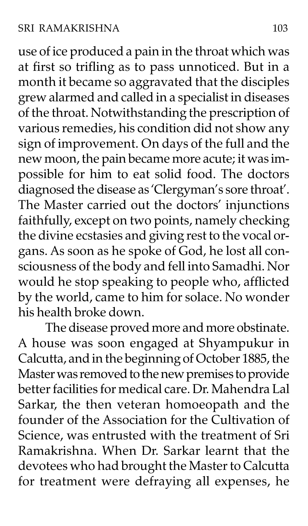use of ice produced a pain in the throat which was at first so trifling as to pass unnoticed. But in a month it became so aggravated that the disciples grew alarmed and called in a specialist in diseases of the throat. Notwithstanding the prescription of various remedies, his condition did not show any sign of improvement. On days of the full and the new moon, the pain became more acute; it was impossible for him to eat solid food. The doctors diagnosed the disease as 'Clergyman's sore throat'. The Master carried out the doctors' injunctions faithfully, except on two points, namely checking the divine ecstasies and giving rest to the vocal organs. As soon as he spoke of God, he lost all consciousness of the body and fell into Samadhi. Nor would he stop speaking to people who, afflicted by the world, came to him for solace. No wonder his health broke down.

The disease proved more and more obstinate. A house was soon engaged at Shyampukur in Calcutta, and in the beginning of October 1885, the Master was removed to the new premises to provide better facilities for medical care. Dr. Mahendra Lal Sarkar, the then veteran homoeopath and the founder of the Association for the Cultivation of Science, was entrusted with the treatment of Sri Ramakrishna. When Dr. Sarkar learnt that the devotees who had brought the Master to Calcutta for treatment were defraying all expenses, he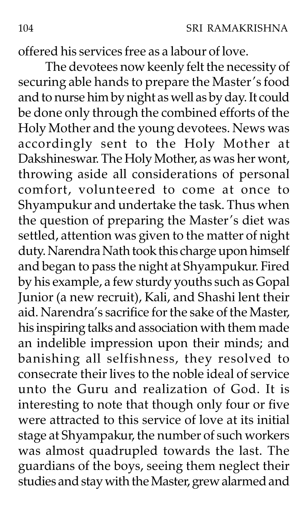offered his services free as a labour of love.

The devotees now keenly felt the necessity of securing able hands to prepare the Master's food and to nurse him by night as well as by day. It could be done only through the combined efforts of the Holy Mother and the young devotees. News was accordingly sent to the Holy Mother at Dakshineswar. The Holy Mother, as was her wont, throwing aside all considerations of personal comfort, volunteered to come at once to Shyampukur and undertake the task. Thus when the question of preparing the Master's diet was settled, attention was given to the matter of night duty. Narendra Nath took this charge upon himself and began to pass the night at Shyampukur. Fired by his example, a few sturdy youths such as Gopal Junior (a new recruit), Kali, and Shashi lent their aid. Narendraís sacrifice for the sake of the Master, his inspiring talks and association with them made an indelible impression upon their minds; and banishing all selfishness, they resolved to consecrate their lives to the noble ideal of service unto the Guru and realization of God. It is interesting to note that though only four or five were attracted to this service of love at its initial stage at Shyampakur, the number of such workers was almost quadrupled towards the last. The guardians of the boys, seeing them neglect their studies and stay with the Master, grew alarmed and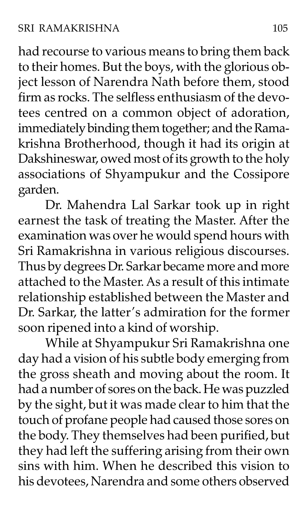had recourse to various means to bring them back to their homes. But the boys, with the glorious object lesson of Narendra Nath before them, stood firm as rocks. The selfless enthusiasm of the devotees centred on a common object of adoration, immediately binding them together; and the Ramakrishna Brotherhood, though it had its origin at Dakshineswar, owed most of its growth to the holy associations of Shyampukur and the Cossipore garden.

Dr. Mahendra Lal Sarkar took up in right earnest the task of treating the Master. After the examination was over he would spend hours with Sri Ramakrishna in various religious discourses. Thus by degrees Dr. Sarkar became more and more attached to the Master. As a result of this intimate relationship established between the Master and Dr. Sarkar, the latter's admiration for the former soon ripened into a kind of worship.

While at Shyampukur Sri Ramakrishna one day had a vision of his subtle body emerging from the gross sheath and moving about the room. It had a number of sores on the back. He was puzzled by the sight, but it was made clear to him that the touch of profane people had caused those sores on the body. They themselves had been purified, but they had left the suffering arising from their own sins with him. When he described this vision to his devotees, Narendra and some others observed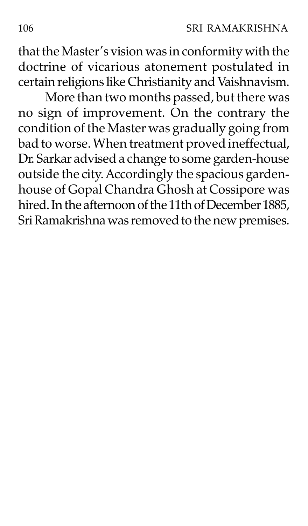that the Master's vision was in conformity with the doctrine of vicarious atonement postulated in certain religions like Christianity and Vaishnavism.

More than two months passed, but there was no sign of improvement. On the contrary the condition of the Master was gradually going from bad to worse. When treatment proved ineffectual, Dr. Sarkar advised a change to some garden-house outside the city. Accordingly the spacious gardenhouse of Gopal Chandra Ghosh at Cossipore was hired. In the afternoon of the 11th of December 1885, Sri Ramakrishna was removed to the new premises.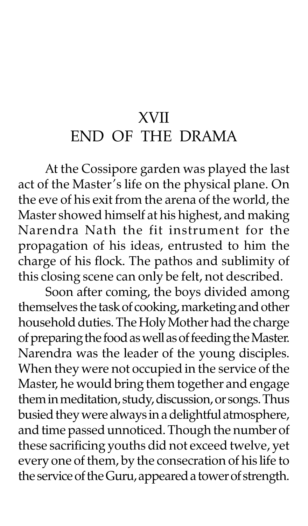## XVII END OF THE DRAMA

At the Cossipore garden was played the last act of the Master's life on the physical plane. On the eve of his exit from the arena of the world, the Master showed himself at his highest, and making Narendra Nath the fit instrument for the propagation of his ideas, entrusted to him the charge of his flock. The pathos and sublimity of this closing scene can only be felt, not described.

Soon after coming, the boys divided among themselves the task of cooking, marketing and other household duties. The Holy Mother had the charge of preparing the food as well as of feeding the Master. Narendra was the leader of the young disciples. When they were not occupied in the service of the Master, he would bring them together and engage them in meditation, study, discussion, or songs. Thus busied they were always in a delightful atmosphere, and time passed unnoticed. Though the number of these sacrificing youths did not exceed twelve, yet every one of them, by the consecration of his life to the service of the Guru, appeared a tower of strength.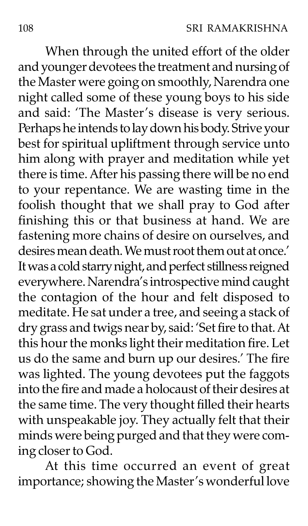When through the united effort of the older and younger devotees the treatment and nursing of the Master were going on smoothly, Narendra one night called some of these young boys to his side and said: 'The Master's disease is very serious. Perhaps he intends to lay down his body. Strive your best for spiritual upliftment through service unto him along with prayer and meditation while yet there is time. After his passing there will be no end to your repentance. We are wasting time in the foolish thought that we shall pray to God after finishing this or that business at hand. We are fastening more chains of desire on ourselves, and desires mean death. We must root them out at once. It was a cold starry night, and perfect stillness reigned everywhere. Narendraís introspective mind caught the contagion of the hour and felt disposed to meditate. He sat under a tree, and seeing a stack of dry grass and twigs near by, said: 'Set fire to that. At this hour the monks light their meditation fire. Let us do the same and burn up our desires.' The fire was lighted. The young devotees put the faggots into the fire and made a holocaust of their desires at the same time. The very thought filled their hearts with unspeakable joy. They actually felt that their minds were being purged and that they were coming closer to God.

At this time occurred an event of great importance; showing the Master's wonderful love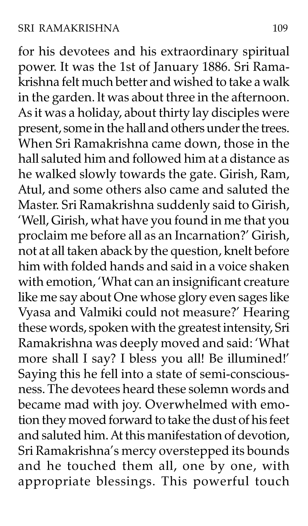for his devotees and his extraordinary spiritual power. It was the 1st of January 1886. Sri Ramakrishna felt much better and wished to take a walk in the garden. lt was about three in the afternoon. As it was a holiday, about thirty lay disciples were present, some in the hall and others under the trees. When Sri Ramakrishna came down, those in the hall saluted him and followed him at a distance as he walked slowly towards the gate. Girish, Ram, Atul, and some others also came and saluted the Master. Sri Ramakrishna suddenly said to Girish, 'Well, Girish, what have you found in me that you proclaim me before all as an Incarnation?' Girish, not at all taken aback by the question, knelt before him with folded hands and said in a voice shaken with emotion, 'What can an insignificant creature like me say about One whose glory even sages like Vyasa and Valmiki could not measure?' Hearing these words, spoken with the greatest intensity, Sri Ramakrishna was deeply moved and said: 'What more shall I say? I bless you all! Be illumined!' Saying this he fell into a state of semi-consciousness. The devotees heard these solemn words and became mad with joy. Overwhelmed with emotion they moved forward to take the dust of his feet and saluted him. At this manifestation of devotion, Sri Ramakrishnaís mercy overstepped its bounds and he touched them all, one by one, with appropriate blessings. This powerful touch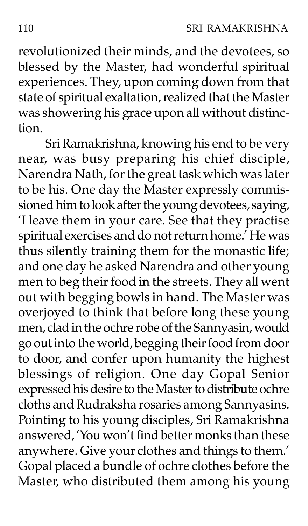revolutionized their minds, and the devotees, so blessed by the Master, had wonderful spiritual experiences. They, upon coming down from that state of spiritual exaltation, realized that the Master was showering his grace upon all without distinction.

Sri Ramakrishna, knowing his end to be very near, was busy preparing his chief disciple, Narendra Nath, for the great task which was later to be his. One day the Master expressly commissioned him to look after the young devotees, saying, 'I leave them in your care. See that they practise spiritual exercises and do not return home.' He was thus silently training them for the monastic life; and one day he asked Narendra and other young men to beg their food in the streets. They all went out with begging bowls in hand. The Master was overjoyed to think that before long these young men, clad in the ochre robe of the Sannyasin, would go out into the world, begging their food from door to door, and confer upon humanity the highest blessings of religion. One day Gopal Senior expressed his desire to the Master to distribute ochre cloths and Rudraksha rosaries among Sannyasins. Pointing to his young disciples, Sri Ramakrishna answered, 'You won't find better monks than these anywhere. Give your clothes and things to them.' Gopal placed a bundle of ochre clothes before the Master, who distributed them among his young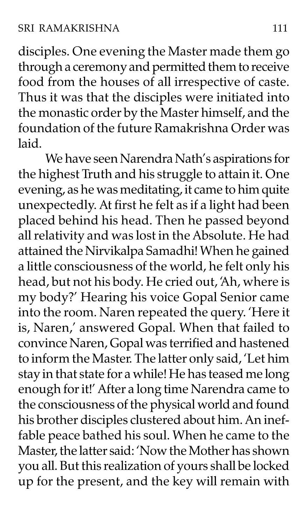disciples. One evening the Master made them go through a ceremony and permitted them to receive food from the houses of all irrespective of caste. Thus it was that the disciples were initiated into the monastic order by the Master himself, and the foundation of the future Ramakrishna Order was laid.

We have seen Narendra Nath's aspirations for the highest Truth and his struggle to attain it. One evening, as he was meditating, it came to him quite unexpectedly. At first he felt as if a light had been placed behind his head. Then he passed beyond all relativity and was lost in the Absolute. He had attained the Nirvikalpa Samadhi! When he gained a little consciousness of the world, he felt only his head, but not his body. He cried out, 'Ah, where is my body?' Hearing his voice Gopal Senior came into the room. Naren repeated the query. 'Here it is, Naren,' answered Gopal. When that failed to convince Naren, Gopal was terrified and hastened to inform the Master. The latter only said, 'Let him stay in that state for a while! He has teased me long enough for it!' After a long time Narendra came to the consciousness of the physical world and found his brother disciples clustered about him. An ineffable peace bathed his soul. When he came to the Master, the latter said: 'Now the Mother has shown you all. But this realization of yours shall be locked up for the present, and the key will remain with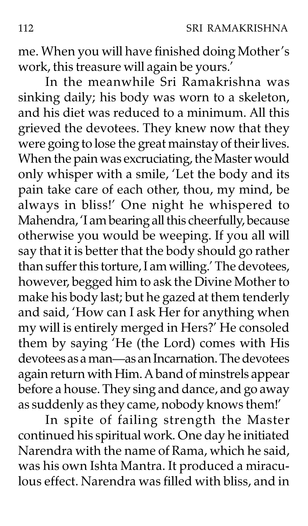me. When you will have finished doing Mother's work, this treasure will again be yours.<sup>'</sup>

In the meanwhile Sri Ramakrishna was sinking daily; his body was worn to a skeleton, and his diet was reduced to a minimum. All this grieved the devotees. They knew now that they were going to lose the great mainstay of their lives. When the pain was excruciating, the Master would only whisper with a smile, 'Let the body and its pain take care of each other, thou, my mind, be always in bliss!' One night he whispered to Mahendra, 'I am bearing all this cheerfully, because otherwise you would be weeping. If you all will say that it is better that the body should go rather than suffer this torture, I am willing.' The devotees, however, begged him to ask the Divine Mother to make his body last; but he gazed at them tenderly and said, 'How can I ask Her for anything when my will is entirely merged in Hers?' He consoled them by saying 'He (the Lord) comes with His devotees as a man—as an Incarnation. The devotees again return with Him. A band of minstrels appear before a house. They sing and dance, and go away as suddenly as they came, nobody knows them!'

In spite of failing strength the Master continued his spiritual work. One day he initiated Narendra with the name of Rama, which he said, was his own Ishta Mantra. It produced a miraculous effect. Narendra was filled with bliss, and in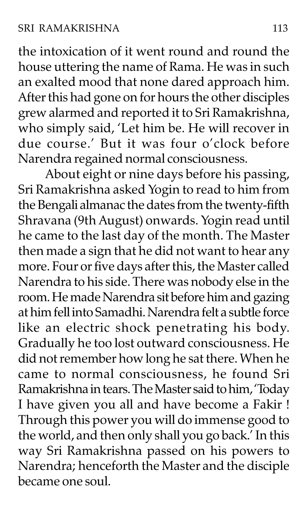the intoxication of it went round and round the house uttering the name of Rama. He was in such an exalted mood that none dared approach him. After this had gone on for hours the other disciples grew alarmed and reported it to Sri Ramakrishna, who simply said, 'Let him be. He will recover in due course.' But it was four o'clock before Narendra regained normal consciousness.

About eight or nine days before his passing, Sri Ramakrishna asked Yogin to read to him from the Bengali almanac the dates from the twenty-fifth Shravana (9th August) onwards. Yogin read until he came to the last day of the month. The Master then made a sign that he did not want to hear any more. Four or five days after this, the Master called Narendra to his side. There was nobody else in the room. He made Narendra sit before him and gazing at him fell into Samadhi. Narendra felt a subtle force like an electric shock penetrating his body. Gradually he too lost outward consciousness. He did not remember how long he sat there. When he came to normal consciousness, he found Sri Ramakrishna in tears. The Master said to him, 'Today I have given you all and have become a Fakir ! Through this power you will do immense good to the world, and then only shall you go back.<sup>7</sup> In this way Sri Ramakrishna passed on his powers to Narendra; henceforth the Master and the disciple became one soul.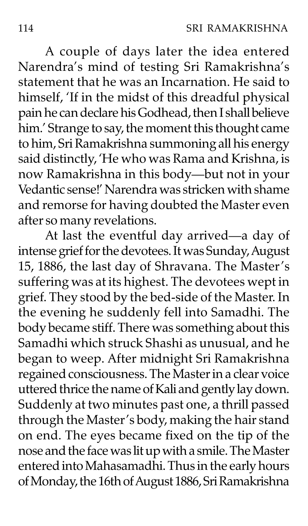A couple of days later the idea entered Narendraís mind of testing Sri Ramakrishnaís statement that he was an Incarnation. He said to himself, 'If in the midst of this dreadful physical pain he can declare his Godhead, then I shall believe him.' Strange to say, the moment this thought came to him, Sri Ramakrishna summoning all his energy said distinctly, 'He who was Rama and Krishna, is now Ramakrishna in this body—but not in your Vedantic sense!' Narendra was stricken with shame and remorse for having doubted the Master even after so many revelations.

At last the eventful day arrived-a day of intense grief for the devotees. It was Sunday, August 15, 1886, the last day of Shravana. The Master's suffering was at its highest. The devotees wept in grief. They stood by the bed-side of the Master. In the evening he suddenly fell into Samadhi. The body became stiff. There was something about this Samadhi which struck Shashi as unusual, and he began to weep. After midnight Sri Ramakrishna regained consciousness. The Master in a clear voice uttered thrice the name of Kali and gently lay down. Suddenly at two minutes past one, a thrill passed through the Master's body, making the hair stand on end. The eyes became fixed on the tip of the nose and the face was lit up with a smile. The Master entered into Mahasamadhi. Thus in the early hours of Monday, the 16th of August 1886, Sri Ramakrishna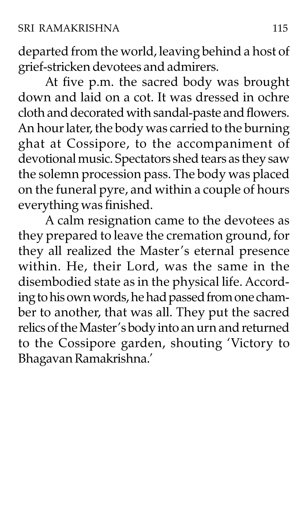departed from the world, leaving behind a host of grief-stricken devotees and admirers.

At five p.m. the sacred body was brought down and laid on a cot. It was dressed in ochre cloth and decorated with sandal-paste and flowers. An hour later, the body was carried to the burning ghat at Cossipore, to the accompaniment of devotional music. Spectators shed tears as they saw the solemn procession pass. The body was placed on the funeral pyre, and within a couple of hours everything was finished.

A calm resignation came to the devotees as they prepared to leave the cremation ground, for they all realized the Master's eternal presence within. He, their Lord, was the same in the disembodied state as in the physical life. According to his own words, he had passed from one chamber to another, that was all. They put the sacred relics of the Master's body into an urn and returned to the Cossipore garden, shouting 'Victory to Bhagavan Ramakrishna.'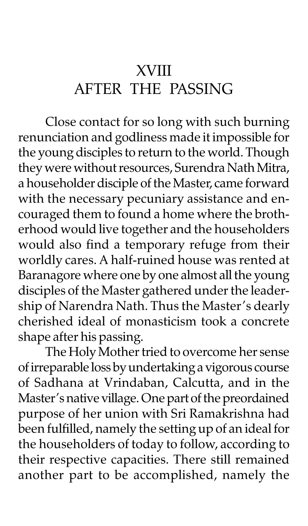# XVIII AFTER THE PASSING

Close contact for so long with such burning renunciation and godliness made it impossible for the young disciples to return to the world. Though they were without resources, Surendra Nath Mitra, a householder disciple of the Master, came forward with the necessary pecuniary assistance and encouraged them to found a home where the brotherhood would live together and the householders would also find a temporary refuge from their worldly cares. A half-ruined house was rented at Baranagore where one by one almost all the young disciples of the Master gathered under the leadership of Narendra Nath. Thus the Master's dearly cherished ideal of monasticism took a concrete shape after his passing.

The Holy Mother tried to overcome her sense of irreparable loss by undertaking a vigorous course of Sadhana at Vrindaban, Calcutta, and in the Master's native village. One part of the preordained purpose of her union with Sri Ramakrishna had been fulfilled, namely the setting up of an ideal for the householders of today to follow, according to their respective capacities. There still remained another part to be accomplished, namely the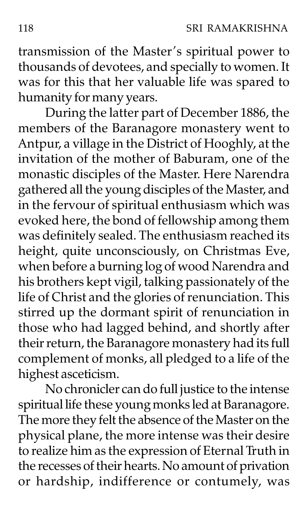transmission of the Master's spiritual power to thousands of devotees, and specially to women. It was for this that her valuable life was spared to humanity for many years.

During the latter part of December 1886, the members of the Baranagore monastery went to Antpur, a village in the District of Hooghly, at the invitation of the mother of Baburam, one of the monastic disciples of the Master. Here Narendra gathered all the young disciples of the Master, and in the fervour of spiritual enthusiasm which was evoked here, the bond of fellowship among them was definitely sealed. The enthusiasm reached its height, quite unconsciously, on Christmas Eve, when before a burning log of wood Narendra and his brothers kept vigil, talking passionately of the life of Christ and the glories of renunciation. This stirred up the dormant spirit of renunciation in those who had lagged behind, and shortly after their return, the Baranagore monastery had its full complement of monks, all pledged to a life of the highest asceticism.

No chronicler can do full justice to the intense spiritual life these young monks led at Baranagore. The more they felt the absence of the Master on the physical plane, the more intense was their desire to realize him as the expression of Eternal Truth in the recesses of their hearts. No amount of privation or hardship, indifference or contumely, was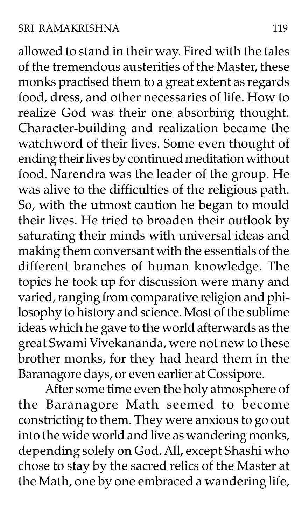allowed to stand in their way. Fired with the tales of the tremendous austerities of the Master, these monks practised them to a great extent as regards food, dress, and other necessaries of life. How to realize God was their one absorbing thought. Character-building and realization became the watchword of their lives. Some even thought of ending their lives by continued meditation without food. Narendra was the leader of the group. He was alive to the difficulties of the religious path. So, with the utmost caution he began to mould their lives. He tried to broaden their outlook by saturating their minds with universal ideas and making them conversant with the essentials of the different branches of human knowledge. The topics he took up for discussion were many and varied, ranging from comparative religion and philosophy to history and science. Most of the sublime ideas which he gave to the world afterwards as the great Swami Vivekananda, were not new to these brother monks, for they had heard them in the Baranagore days, or even earlier at Cossipore.

After some time even the holy atmosphere of the Baranagore Math seemed to become constricting to them. They were anxious to go out into the wide world and live as wandering monks, depending solely on God. All, except Shashi who chose to stay by the sacred relics of the Master at the Math, one by one embraced a wandering life,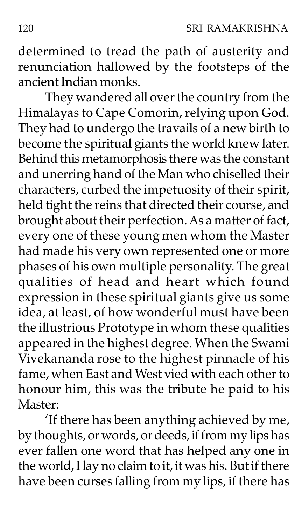determined to tread the path of austerity and renunciation hallowed by the footsteps of the ancient Indian monks.

They wandered all over the country from the Himalayas to Cape Comorin, relying upon God. They had to undergo the travails of a new birth to become the spiritual giants the world knew later. Behind this metamorphosis there was the constant and unerring hand of the Man who chiselled their characters, curbed the impetuosity of their spirit, held tight the reins that directed their course, and brought about their perfection. As a matter of fact, every one of these young men whom the Master had made his very own represented one or more phases of his own multiple personality. The great qualities of head and heart which found expression in these spiritual giants give us some idea, at least, of how wonderful must have been the illustrious Prototype in whom these qualities appeared in the highest degree. When the Swami Vivekananda rose to the highest pinnacle of his fame, when East and West vied with each other to honour him, this was the tribute he paid to his Master:

'If there has been anything achieved by me, by thoughts, or words, or deeds, if from my lips has ever fallen one word that has helped any one in the world, I lay no claim to it, it was his. But if there have been curses falling from my lips, if there has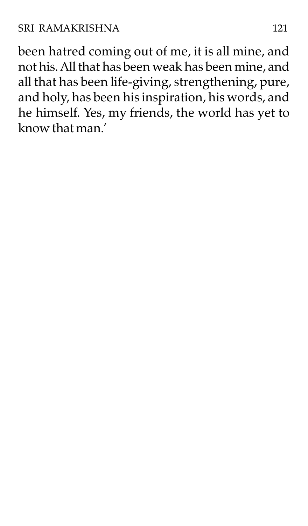been hatred coming out of me, it is all mine, and not his. All that has been weak has been mine, and all that has been life-giving, strengthening, pure, and holy, has been his inspiration, his words, and he himself. Yes, my friends, the world has yet to know that man.'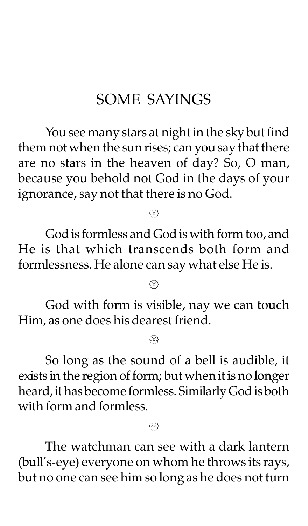# SOME SAYINGS

You see many stars at night in the sky but find them not when the sun rises; can you say that there are no stars in the heaven of day? So, O man, because you behold not God in the days of your ignorance, say not that there is no God.

{

God is formless and God is with form too, and He is that which transcends both form and formlessness. He alone can say what else He is.

### ු

God with form is visible, nay we can touch Him, as one does his dearest friend.

#### ුතු

So long as the sound of a bell is audible, it exists in the region of form; but when it is no longer heard, it has become formless. Similarly God is both with form and formless.

## ුබ

The watchman can see with a dark lantern (bull's-eye) everyone on whom he throws its rays, but no one can see him so long as he does not turn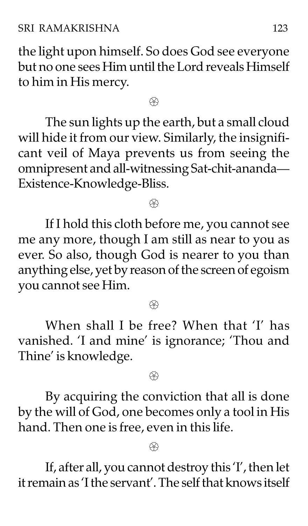the light upon himself. So does God see everyone but no one sees Him until the Lord reveals Himself to him in His mercy.

### €

The sun lights up the earth, but a small cloud will hide it from our view. Similarly, the insignificant veil of Maya prevents us from seeing the omnipresent and all-witnessing Sat-chit-ananda-Existence-Knowledge-Bliss.

# ුබ

If I hold this cloth before me, you cannot see me any more, though I am still as near to you as ever. So also, though God is nearer to you than anything else, yet by reason of the screen of egoism you cannot see Him.

### Æ.,

When shall I be free? When that 'I' has vanished. 'I and mine' is ignorance; 'Thou and Thine' is knowledge.

### Æ.,

By acquiring the conviction that all is done by the will of God, one becomes only a tool in His hand. Then one is free, even in this life.

# $\widehat{\mathcal{C}}$

If, after all, you cannot destroy this  $T'$ , then let it remain as 'I the servant'. The self that knows itself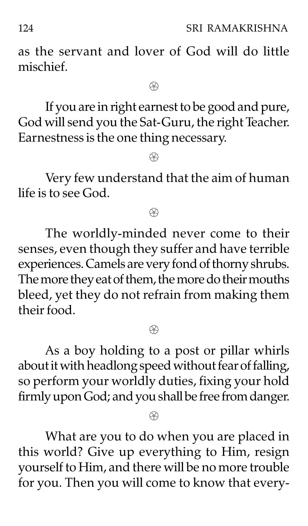as the servant and lover of God will do little mischief.

#### €

If you are in right earnest to be good and pure, God will send you the Sat-Guru, the right Teacher. Earnestness is the one thing necessary.

# {

Very few understand that the aim of human life is to see God.

# $\widehat{\mathcal{C}}$

The worldly-minded never come to their senses, even though they suffer and have terrible experiences. Camels are very fond of thorny shrubs. The more they eat of them, the more do their mouths bleed, yet they do not refrain from making them their food.

# $\widehat{\mathcal{C}}$

As a boy holding to a post or pillar whirls about it with headlong speed without fear of falling, so perform your worldly duties, fixing your hold firmly upon God; and you shall be free from danger.

#### ු

What are you to do when you are placed in this world? Give up everything to Him, resign yourself to Him, and there will be no more trouble for you. Then you will come to know that every-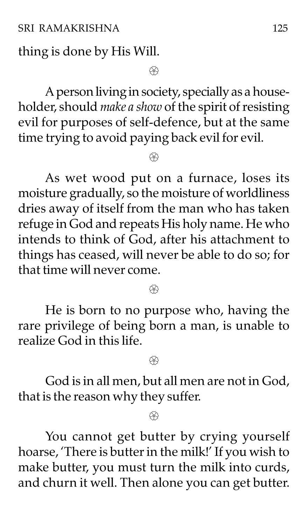# thing is done by His Will.

{

A person living in society, specially as a householder, should make a show of the spirit of resisting evil for purposes of self-defence, but at the same time trying to avoid paying back evil for evil.

# {

As wet wood put on a furnace, loses its moisture gradually, so the moisture of worldliness dries away of itself from the man who has taken refuge in God and repeats His holy name. He who intends to think of God, after his attachment to things has ceased, will never be able to do so; for that time will never come.

#### ¢3

He is born to no purpose who, having the rare privilege of being born a man, is unable to realize God in this life.

### $\widehat{\mathcal{C}}$

God is in all men, but all men are not in God, that is the reason why they suffer.

#### ු

You cannot get butter by crying yourself hoarse, 'There is butter in the milk!' If you wish to make butter, you must turn the milk into curds, and churn it well. Then alone you can get butter.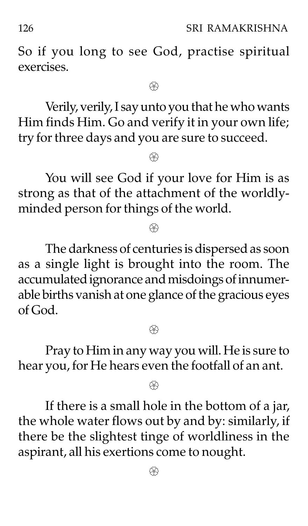So if you long to see God, practise spiritual exercises.

### ුතු

Verily, verily, I say unto you that he who wants Him finds Him. Go and verify it in your own life; try for three days and you are sure to succeed.

# {

You will see God if your love for Him is as strong as that of the attachment of the worldlyminded person for things of the world.

# {

The darkness of centuries is dispersed as soon as a single light is brought into the room. The accumulated ignorance and misdoings of innumerable births vanish at one glance of the gracious eyes of God.

# ¢3

Pray to Him in any way you will. He is sure to hear you, for He hears even the footfall of an ant.

### ු

If there is a small hole in the bottom of a jar, the whole water flows out by and by: similarly, if there be the slightest tinge of worldliness in the aspirant, all his exertions come to nought.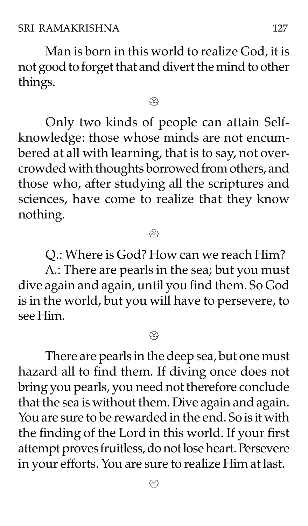Man is born in this world to realize God, it is not good to forget that and divert the mind to other things.

# දඹු

Only two kinds of people can attain Selfknowledge: those whose minds are not encumbered at all with learning, that is to say, not overcrowded with thoughts borrowed from others, and those who, after studying all the scriptures and sciences, have come to realize that they know nothing.

#### 63

Q.: Where is God? How can we reach Him?

A.: There are pearls in the sea; but you must dive again and again, until you find them. So God is in the world, but you will have to persevere, to see Him.

## $\widehat{\mathcal{C}}$

There are pearls in the deep sea, but one must hazard all to find them. If diving once does not bring you pearls, you need not therefore conclude that the sea is without them. Dive again and again. You are sure to be rewarded in the end. So is it with the finding of the Lord in this world. If your first attempt proves fruitless, do not lose heart. Persevere in your efforts. You are sure to realize Him at last.